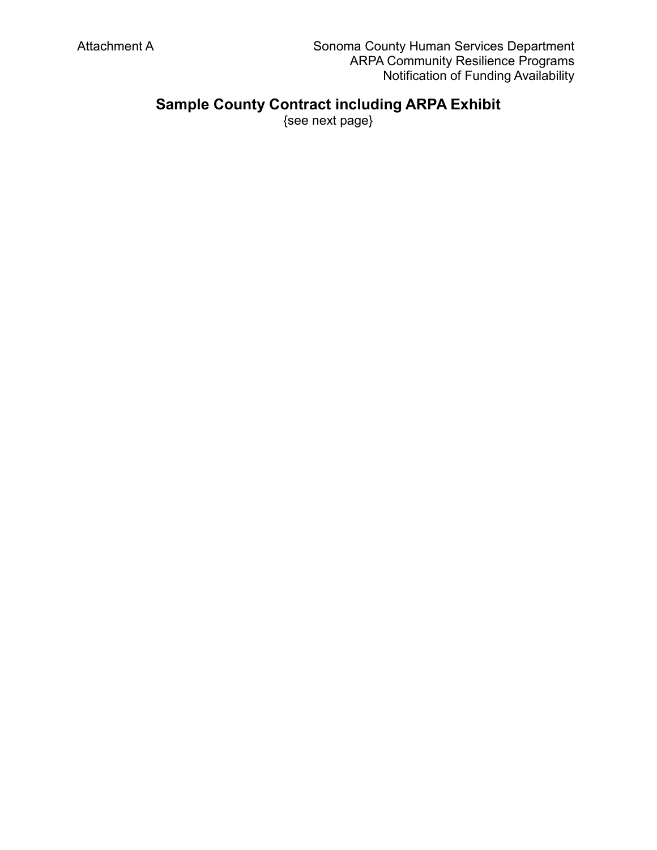# **Sample County Contract including ARPA Exhibit**

{see next page}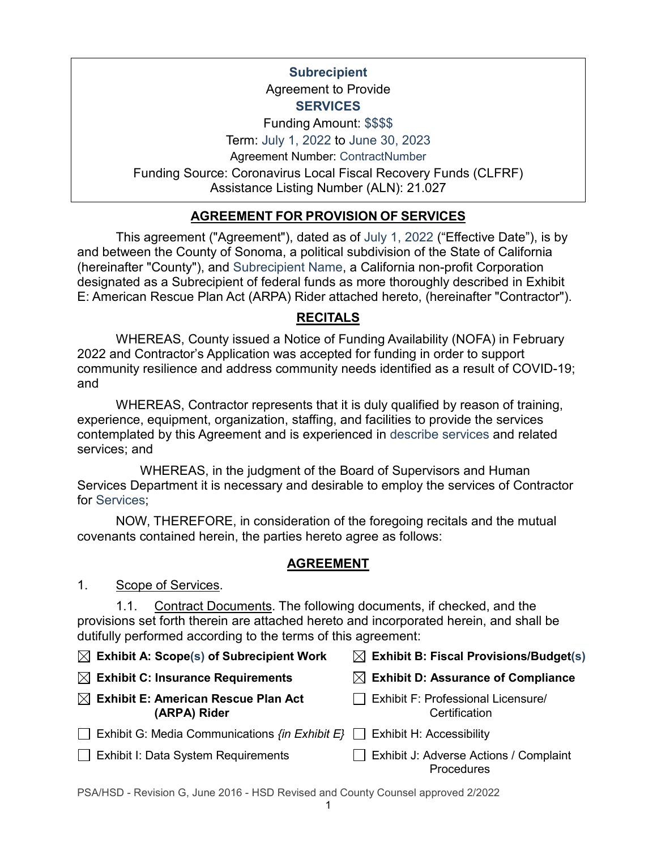**Subrecipient** Agreement to Provide **SERVICES**  Funding Amount: \$\$\$\$ Term: July 1, 2022 to June 30, 2023 Agreement Number: ContractNumber Funding Source: Coronavirus Local Fiscal Recovery Funds (CLFRF) Assistance Listing Number (ALN): 21.027

# **AGREEMENT FOR PROVISION OF SERVICES**

This agreement ("Agreement"), dated as of July 1, 2022 ("Effective Date"), is by and between the County of Sonoma, a political subdivision of the State of California (hereinafter "County"), and Subrecipient Name, a California non-profit Corporation designated as a Subrecipient of federal funds as more thoroughly described in Exhibit E: American Rescue Plan Act (ARPA) Rider attached hereto, (hereinafter "Contractor").

### **RECITALS**

WHEREAS, County issued a Notice of Funding Availability (NOFA) in February 2022 and Contractor's Application was accepted for funding in order to support community resilience and address community needs identified as a result of COVID-19; and

WHEREAS, Contractor represents that it is duly qualified by reason of training, experience, equipment, organization, staffing, and facilities to provide the services contemplated by this Agreement and is experienced in describe services and related services; and

WHEREAS, in the judgment of the Board of Supervisors and Human Services Department it is necessary and desirable to employ the services of Contractor for Services:

NOW, THEREFORE, in consideration of the foregoing recitals and the mutual covenants contained herein, the parties hereto agree as follows:

#### **AGREEMENT**

#### 1. Scope of Services.

1.1. Contract Documents. The following documents, if checked, and the provisions set forth therein are attached hereto and incorporated herein, and shall be dutifully performed according to the terms of this agreement:

- **Exhibit A: Scope(s) of Subrecipient Work Exhibit B: Fiscal Provisions/Budget(s) Exhibit C: Insurance Requirements Exhibit D: Assurance of Compliance**
- $\boxtimes$  **Exhibit E: American Rescue Plan Act**  $\Box$  Exhibit F: Professional Licensure/ **(ARPA) Rider** Certification
- Exhibit G: Media Communications *{in Exhibit E}* Exhibit H: Accessibility
- Exhibit I: Data System Requirements **Exhibit J: Adverse Actions / Complaint**
- **Procedures**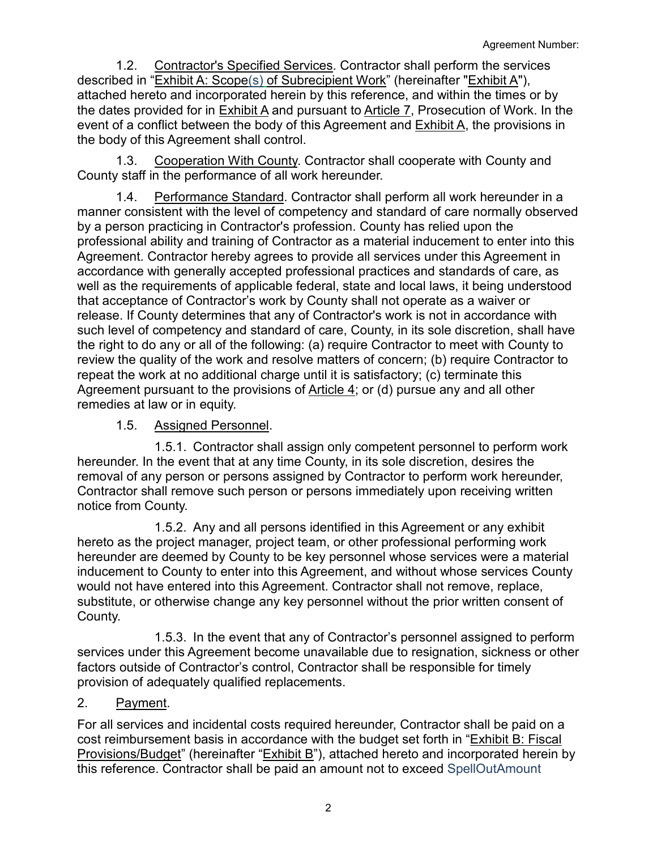1.2. Contractor's Specified Services. Contractor shall perform the services described in "Exhibit A: Scope(s) of Subrecipient Work" (hereinafter "Exhibit A"), attached hereto and incorporated herein by this reference, and within the times or by the dates provided for in Exhibit A and pursuant to Article 7, Prosecution of Work. In the event of a conflict between the body of this Agreement and Exhibit A, the provisions in the body of this Agreement shall control.

1.3. Cooperation With County. Contractor shall cooperate with County and County staff in the performance of all work hereunder.

1.4. Performance Standard. Contractor shall perform all work hereunder in a manner consistent with the level of competency and standard of care normally observed by a person practicing in Contractor's profession. County has relied upon the professional ability and training of Contractor as a material inducement to enter into this Agreement. Contractor hereby agrees to provide all services under this Agreement in accordance with generally accepted professional practices and standards of care, as well as the requirements of applicable federal, state and local laws, it being understood that acceptance of Contractor's work by County shall not operate as a waiver or release. If County determines that any of Contractor's work is not in accordance with such level of competency and standard of care, County, in its sole discretion, shall have the right to do any or all of the following: (a) require Contractor to meet with County to review the quality of the work and resolve matters of concern; (b) require Contractor to repeat the work at no additional charge until it is satisfactory; (c) terminate this Agreement pursuant to the provisions of Article 4; or (d) pursue any and all other remedies at law or in equity.

# 1.5. Assigned Personnel.

1.5.1. Contractor shall assign only competent personnel to perform work hereunder. In the event that at any time County, in its sole discretion, desires the removal of any person or persons assigned by Contractor to perform work hereunder, Contractor shall remove such person or persons immediately upon receiving written notice from County.

1.5.2. Any and all persons identified in this Agreement or any exhibit hereto as the project manager, project team, or other professional performing work hereunder are deemed by County to be key personnel whose services were a material inducement to County to enter into this Agreement, and without whose services County would not have entered into this Agreement. Contractor shall not remove, replace, substitute, or otherwise change any key personnel without the prior written consent of County.

1.5.3. In the event that any of Contractor's personnel assigned to perform services under this Agreement become unavailable due to resignation, sickness or other factors outside of Contractor's control, Contractor shall be responsible for timely provision of adequately qualified replacements.

#### 2. Payment.

For all services and incidental costs required hereunder, Contractor shall be paid on a cost reimbursement basis in accordance with the budget set forth in "Exhibit B: Fiscal Provisions/Budget" (hereinafter "Exhibit B"), attached hereto and incorporated herein by this reference. Contractor shall be paid an amount not to exceed SpellOutAmount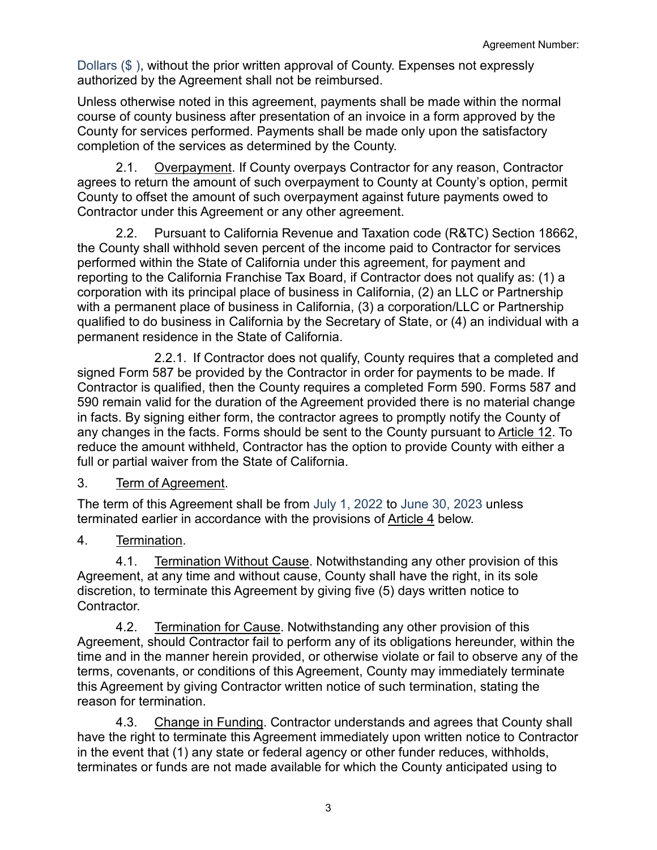Dollars (\$ ), without the prior written approval of County. Expenses not expressly authorized by the Agreement shall not be reimbursed.

Unless otherwise noted in this agreement, payments shall be made within the normal course of county business after presentation of an invoice in a form approved by the County for services performed. Payments shall be made only upon the satisfactory completion of the services as determined by the County.

2.1. Overpayment. If County overpays Contractor for any reason, Contractor agrees to return the amount of such overpayment to County at County's option, permit County to offset the amount of such overpayment against future payments owed to Contractor under this Agreement or any other agreement.

2.2. Pursuant to California Revenue and Taxation code (R&TC) Section 18662, the County shall withhold seven percent of the income paid to Contractor for services performed within the State of California under this agreement, for payment and reporting to the California Franchise Tax Board, if Contractor does not qualify as: (1) a corporation with its principal place of business in California, (2) an LLC or Partnership with a permanent place of business in California, (3) a corporation/LLC or Partnership qualified to do business in California by the Secretary of State, or (4) an individual with a permanent residence in the State of California.

2.2.1. If Contractor does not qualify, County requires that a completed and signed Form 587 be provided by the Contractor in order for payments to be made. If Contractor is qualified, then the County requires a completed Form 590. Forms 587 and 590 remain valid for the duration of the Agreement provided there is no material change in facts. By signing either form, the contractor agrees to promptly notify the County of any changes in the facts. Forms should be sent to the County pursuant to Article 12. To reduce the amount withheld, Contractor has the option to provide County with either a full or partial waiver from the State of California.

#### 3. Term of Agreement.

The term of this Agreement shall be from July 1, 2022 to June 30, 2023 unless terminated earlier in accordance with the provisions of Article 4 below.

4. Termination.

4.1. Termination Without Cause. Notwithstanding any other provision of this Agreement, at any time and without cause, County shall have the right, in its sole discretion, to terminate this Agreement by giving five (5) days written notice to Contractor.

4.2. Termination for Cause. Notwithstanding any other provision of this Agreement, should Contractor fail to perform any of its obligations hereunder, within the time and in the manner herein provided, or otherwise violate or fail to observe any of the terms, covenants, or conditions of this Agreement, County may immediately terminate this Agreement by giving Contractor written notice of such termination, stating the reason for termination.

4.3. Change in Funding. Contractor understands and agrees that County shall have the right to terminate this Agreement immediately upon written notice to Contractor in the event that (1) any state or federal agency or other funder reduces, withholds, terminates or funds are not made available for which the County anticipated using to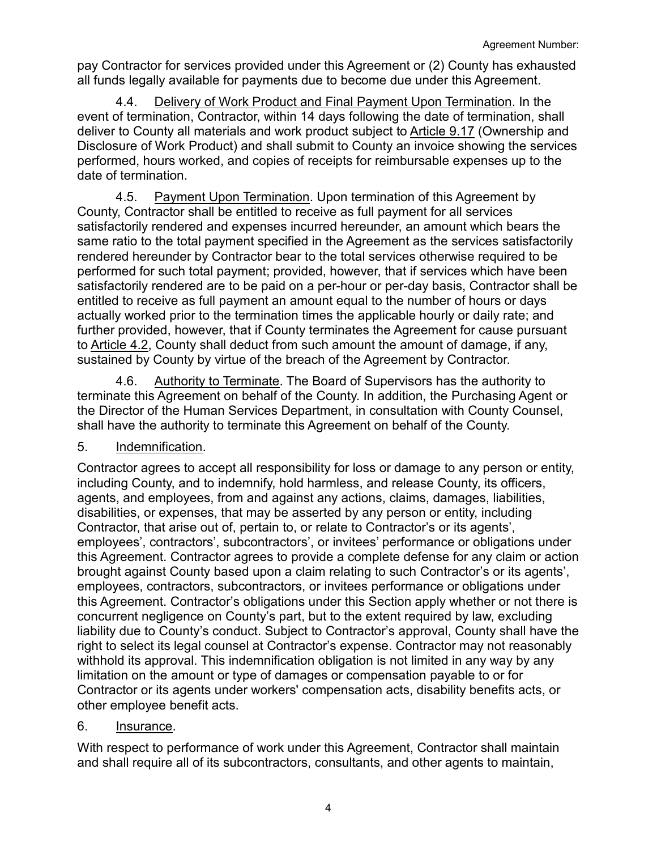pay Contractor for services provided under this Agreement or (2) County has exhausted all funds legally available for payments due to become due under this Agreement.

4.4. Delivery of Work Product and Final Payment Upon Termination. In the event of termination, Contractor, within 14 days following the date of termination, shall deliver to County all materials and work product subject to Article 9.17 (Ownership and Disclosure of Work Product) and shall submit to County an invoice showing the services performed, hours worked, and copies of receipts for reimbursable expenses up to the date of termination.

4.5. Payment Upon Termination. Upon termination of this Agreement by County, Contractor shall be entitled to receive as full payment for all services satisfactorily rendered and expenses incurred hereunder, an amount which bears the same ratio to the total payment specified in the Agreement as the services satisfactorily rendered hereunder by Contractor bear to the total services otherwise required to be performed for such total payment; provided, however, that if services which have been satisfactorily rendered are to be paid on a per-hour or per-day basis, Contractor shall be entitled to receive as full payment an amount equal to the number of hours or days actually worked prior to the termination times the applicable hourly or daily rate; and further provided, however, that if County terminates the Agreement for cause pursuant to Article 4.2, County shall deduct from such amount the amount of damage, if any, sustained by County by virtue of the breach of the Agreement by Contractor.

4.6. Authority to Terminate. The Board of Supervisors has the authority to terminate this Agreement on behalf of the County. In addition, the Purchasing Agent or the Director of the Human Services Department, in consultation with County Counsel, shall have the authority to terminate this Agreement on behalf of the County.

# 5. Indemnification.

Contractor agrees to accept all responsibility for loss or damage to any person or entity, including County, and to indemnify, hold harmless, and release County, its officers, agents, and employees, from and against any actions, claims, damages, liabilities, disabilities, or expenses, that may be asserted by any person or entity, including Contractor, that arise out of, pertain to, or relate to Contractor's or its agents', employees', contractors', subcontractors', or invitees' performance or obligations under this Agreement. Contractor agrees to provide a complete defense for any claim or action brought against County based upon a claim relating to such Contractor's or its agents', employees, contractors, subcontractors, or invitees performance or obligations under this Agreement. Contractor's obligations under this Section apply whether or not there is concurrent negligence on County's part, but to the extent required by law, excluding liability due to County's conduct. Subject to Contractor's approval, County shall have the right to select its legal counsel at Contractor's expense. Contractor may not reasonably withhold its approval. This indemnification obligation is not limited in any way by any limitation on the amount or type of damages or compensation payable to or for Contractor or its agents under workers' compensation acts, disability benefits acts, or other employee benefit acts.

# 6. Insurance.

With respect to performance of work under this Agreement, Contractor shall maintain and shall require all of its subcontractors, consultants, and other agents to maintain,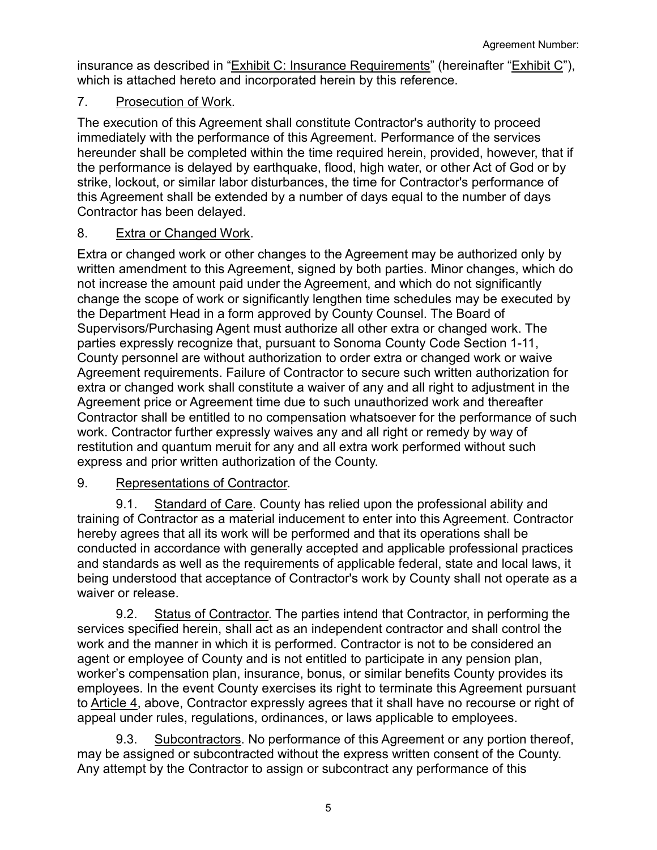insurance as described in "Exhibit C: Insurance Requirements" (hereinafter "Exhibit C"), which is attached hereto and incorporated herein by this reference.

# 7. Prosecution of Work.

The execution of this Agreement shall constitute Contractor's authority to proceed immediately with the performance of this Agreement. Performance of the services hereunder shall be completed within the time required herein, provided, however, that if the performance is delayed by earthquake, flood, high water, or other Act of God or by strike, lockout, or similar labor disturbances, the time for Contractor's performance of this Agreement shall be extended by a number of days equal to the number of days Contractor has been delayed.

# 8. Extra or Changed Work.

Extra or changed work or other changes to the Agreement may be authorized only by written amendment to this Agreement, signed by both parties. Minor changes, which do not increase the amount paid under the Agreement, and which do not significantly change the scope of work or significantly lengthen time schedules may be executed by the Department Head in a form approved by County Counsel. The Board of Supervisors/Purchasing Agent must authorize all other extra or changed work. The parties expressly recognize that, pursuant to Sonoma County Code Section 1-11, County personnel are without authorization to order extra or changed work or waive Agreement requirements. Failure of Contractor to secure such written authorization for extra or changed work shall constitute a waiver of any and all right to adjustment in the Agreement price or Agreement time due to such unauthorized work and thereafter Contractor shall be entitled to no compensation whatsoever for the performance of such work. Contractor further expressly waives any and all right or remedy by way of restitution and quantum meruit for any and all extra work performed without such express and prior written authorization of the County.

# 9. Representations of Contractor.

9.1. Standard of Care. County has relied upon the professional ability and training of Contractor as a material inducement to enter into this Agreement. Contractor hereby agrees that all its work will be performed and that its operations shall be conducted in accordance with generally accepted and applicable professional practices and standards as well as the requirements of applicable federal, state and local laws, it being understood that acceptance of Contractor's work by County shall not operate as a waiver or release.

9.2. Status of Contractor. The parties intend that Contractor, in performing the services specified herein, shall act as an independent contractor and shall control the work and the manner in which it is performed. Contractor is not to be considered an agent or employee of County and is not entitled to participate in any pension plan, worker's compensation plan, insurance, bonus, or similar benefits County provides its employees. In the event County exercises its right to terminate this Agreement pursuant to Article 4, above, Contractor expressly agrees that it shall have no recourse or right of appeal under rules, regulations, ordinances, or laws applicable to employees.

9.3. Subcontractors. No performance of this Agreement or any portion thereof, may be assigned or subcontracted without the express written consent of the County. Any attempt by the Contractor to assign or subcontract any performance of this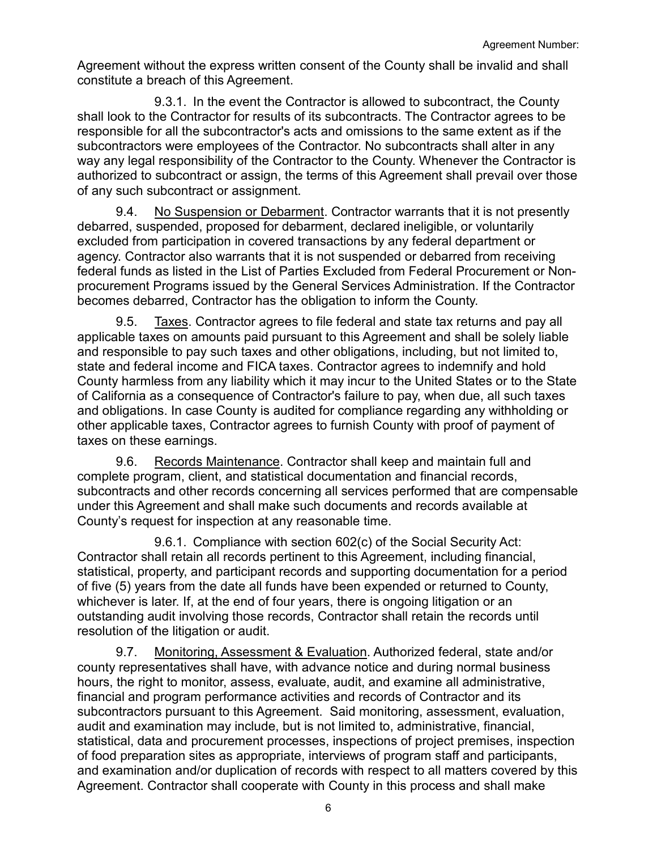Agreement without the express written consent of the County shall be invalid and shall constitute a breach of this Agreement.

9.3.1. In the event the Contractor is allowed to subcontract, the County shall look to the Contractor for results of its subcontracts. The Contractor agrees to be responsible for all the subcontractor's acts and omissions to the same extent as if the subcontractors were employees of the Contractor. No subcontracts shall alter in any way any legal responsibility of the Contractor to the County. Whenever the Contractor is authorized to subcontract or assign, the terms of this Agreement shall prevail over those of any such subcontract or assignment.

9.4. No Suspension or Debarment. Contractor warrants that it is not presently debarred, suspended, proposed for debarment, declared ineligible, or voluntarily excluded from participation in covered transactions by any federal department or agency. Contractor also warrants that it is not suspended or debarred from receiving federal funds as listed in the List of Parties Excluded from Federal Procurement or Nonprocurement Programs issued by the General Services Administration. If the Contractor becomes debarred, Contractor has the obligation to inform the County.

9.5. Taxes. Contractor agrees to file federal and state tax returns and pay all applicable taxes on amounts paid pursuant to this Agreement and shall be solely liable and responsible to pay such taxes and other obligations, including, but not limited to, state and federal income and FICA taxes. Contractor agrees to indemnify and hold County harmless from any liability which it may incur to the United States or to the State of California as a consequence of Contractor's failure to pay, when due, all such taxes and obligations. In case County is audited for compliance regarding any withholding or other applicable taxes, Contractor agrees to furnish County with proof of payment of taxes on these earnings.

9.6. Records Maintenance. Contractor shall keep and maintain full and complete program, client, and statistical documentation and financial records, subcontracts and other records concerning all services performed that are compensable under this Agreement and shall make such documents and records available at County's request for inspection at any reasonable time.

9.6.1. Compliance with section 602(c) of the Social Security Act: Contractor shall retain all records pertinent to this Agreement, including financial, statistical, property, and participant records and supporting documentation for a period of five (5) years from the date all funds have been expended or returned to County, whichever is later. If, at the end of four years, there is ongoing litigation or an outstanding audit involving those records, Contractor shall retain the records until resolution of the litigation or audit.

9.7. Monitoring, Assessment & Evaluation. Authorized federal, state and/or county representatives shall have, with advance notice and during normal business hours, the right to monitor, assess, evaluate, audit, and examine all administrative, financial and program performance activities and records of Contractor and its subcontractors pursuant to this Agreement. Said monitoring, assessment, evaluation, audit and examination may include, but is not limited to, administrative, financial, statistical, data and procurement processes, inspections of project premises, inspection of food preparation sites as appropriate, interviews of program staff and participants, and examination and/or duplication of records with respect to all matters covered by this Agreement. Contractor shall cooperate with County in this process and shall make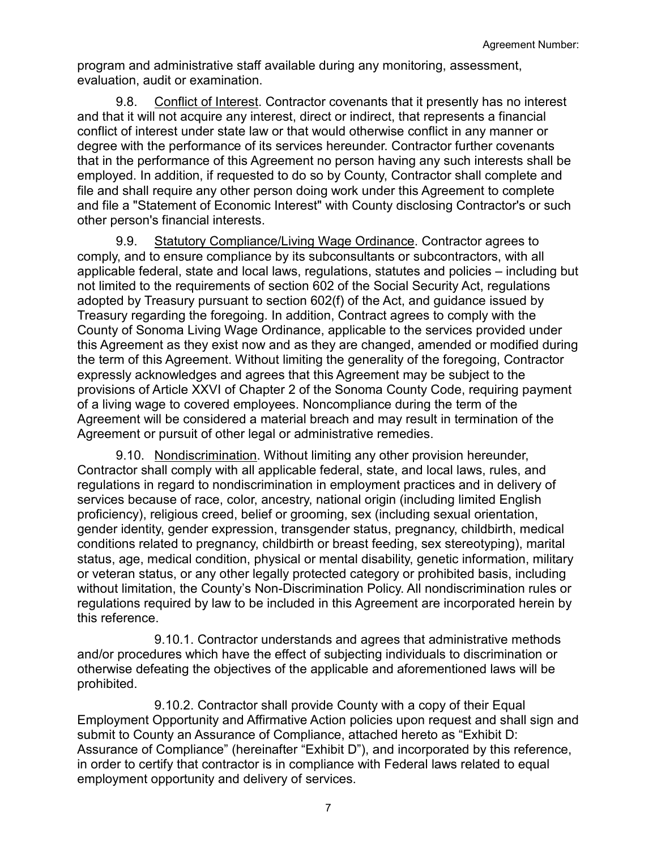program and administrative staff available during any monitoring, assessment, evaluation, audit or examination.

9.8. Conflict of Interest. Contractor covenants that it presently has no interest and that it will not acquire any interest, direct or indirect, that represents a financial conflict of interest under state law or that would otherwise conflict in any manner or degree with the performance of its services hereunder. Contractor further covenants that in the performance of this Agreement no person having any such interests shall be employed. In addition, if requested to do so by County, Contractor shall complete and file and shall require any other person doing work under this Agreement to complete and file a "Statement of Economic Interest" with County disclosing Contractor's or such other person's financial interests.

9.9. Statutory Compliance/Living Wage Ordinance. Contractor agrees to comply, and to ensure compliance by its subconsultants or subcontractors, with all applicable federal, state and local laws, regulations, statutes and policies – including but not limited to the requirements of section 602 of the Social Security Act, regulations adopted by Treasury pursuant to section 602(f) of the Act, and guidance issued by Treasury regarding the foregoing. In addition, Contract agrees to comply with the County of Sonoma Living Wage Ordinance, applicable to the services provided under this Agreement as they exist now and as they are changed, amended or modified during the term of this Agreement. Without limiting the generality of the foregoing, Contractor expressly acknowledges and agrees that this Agreement may be subject to the provisions of Article XXVI of Chapter 2 of the Sonoma County Code, requiring payment of a living wage to covered employees. Noncompliance during the term of the Agreement will be considered a material breach and may result in termination of the Agreement or pursuit of other legal or administrative remedies.

9.10. Nondiscrimination. Without limiting any other provision hereunder, Contractor shall comply with all applicable federal, state, and local laws, rules, and regulations in regard to nondiscrimination in employment practices and in delivery of services because of race, color, ancestry, national origin (including limited English proficiency), religious creed, belief or grooming, sex (including sexual orientation, gender identity, gender expression, transgender status, pregnancy, childbirth, medical conditions related to pregnancy, childbirth or breast feeding, sex stereotyping), marital status, age, medical condition, physical or mental disability, genetic information, military or veteran status, or any other legally protected category or prohibited basis, including without limitation, the County's Non-Discrimination Policy. All nondiscrimination rules or regulations required by law to be included in this Agreement are incorporated herein by this reference.

9.10.1. Contractor understands and agrees that administrative methods and/or procedures which have the effect of subjecting individuals to discrimination or otherwise defeating the objectives of the applicable and aforementioned laws will be prohibited.

9.10.2. Contractor shall provide County with a copy of their Equal Employment Opportunity and Affirmative Action policies upon request and shall sign and submit to County an Assurance of Compliance, attached hereto as "Exhibit D: Assurance of Compliance" (hereinafter "Exhibit D"), and incorporated by this reference, in order to certify that contractor is in compliance with Federal laws related to equal employment opportunity and delivery of services.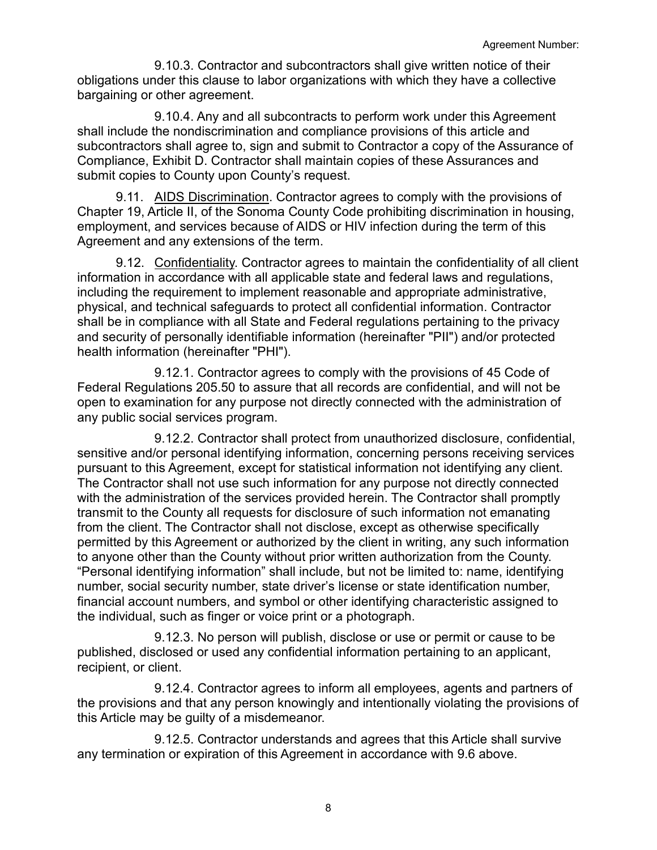9.10.3. Contractor and subcontractors shall give written notice of their obligations under this clause to labor organizations with which they have a collective bargaining or other agreement.

 9.10.4. Any and all subcontracts to perform work under this Agreement shall include the nondiscrimination and compliance provisions of this article and subcontractors shall agree to, sign and submit to Contractor a copy of the Assurance of Compliance, Exhibit D. Contractor shall maintain copies of these Assurances and submit copies to County upon County's request.

9.11. AIDS Discrimination. Contractor agrees to comply with the provisions of Chapter 19, Article II, of the Sonoma County Code prohibiting discrimination in housing, employment, and services because of AIDS or HIV infection during the term of this Agreement and any extensions of the term.

9.12. Confidentiality. Contractor agrees to maintain the confidentiality of all client information in accordance with all applicable state and federal laws and regulations, including the requirement to implement reasonable and appropriate administrative, physical, and technical safeguards to protect all confidential information. Contractor shall be in compliance with all State and Federal regulations pertaining to the privacy and security of personally identifiable information (hereinafter "PII") and/or protected health information (hereinafter "PHI").

9.12.1. Contractor agrees to comply with the provisions of 45 Code of Federal Regulations 205.50 to assure that all records are confidential, and will not be open to examination for any purpose not directly connected with the administration of any public social services program.

9.12.2. Contractor shall protect from unauthorized disclosure, confidential, sensitive and/or personal identifying information, concerning persons receiving services pursuant to this Agreement, except for statistical information not identifying any client. The Contractor shall not use such information for any purpose not directly connected with the administration of the services provided herein. The Contractor shall promptly transmit to the County all requests for disclosure of such information not emanating from the client. The Contractor shall not disclose, except as otherwise specifically permitted by this Agreement or authorized by the client in writing, any such information to anyone other than the County without prior written authorization from the County. "Personal identifying information" shall include, but not be limited to: name, identifying number, social security number, state driver's license or state identification number, financial account numbers, and symbol or other identifying characteristic assigned to the individual, such as finger or voice print or a photograph.

9.12.3. No person will publish, disclose or use or permit or cause to be published, disclosed or used any confidential information pertaining to an applicant, recipient, or client.

9.12.4. Contractor agrees to inform all employees, agents and partners of the provisions and that any person knowingly and intentionally violating the provisions of this Article may be guilty of a misdemeanor.

9.12.5. Contractor understands and agrees that this Article shall survive any termination or expiration of this Agreement in accordance with 9.6 above.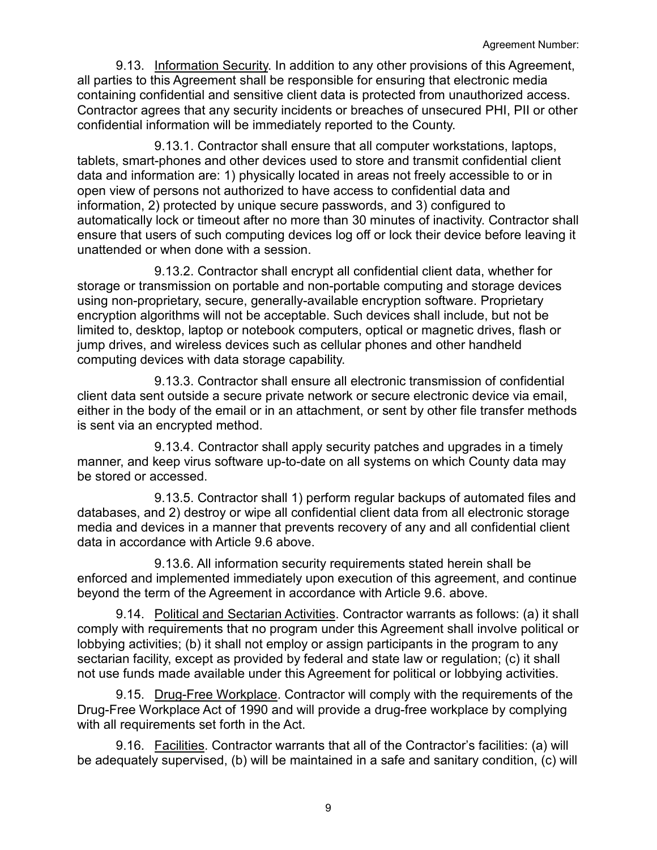9.13. Information Security. In addition to any other provisions of this Agreement, all parties to this Agreement shall be responsible for ensuring that electronic media containing confidential and sensitive client data is protected from unauthorized access. Contractor agrees that any security incidents or breaches of unsecured PHI, PII or other confidential information will be immediately reported to the County.

9.13.1. Contractor shall ensure that all computer workstations, laptops, tablets, smart-phones and other devices used to store and transmit confidential client data and information are: 1) physically located in areas not freely accessible to or in open view of persons not authorized to have access to confidential data and information, 2) protected by unique secure passwords, and 3) configured to automatically lock or timeout after no more than 30 minutes of inactivity. Contractor shall ensure that users of such computing devices log off or lock their device before leaving it unattended or when done with a session.

9.13.2. Contractor shall encrypt all confidential client data, whether for storage or transmission on portable and non-portable computing and storage devices using non-proprietary, secure, generally-available encryption software. Proprietary encryption algorithms will not be acceptable. Such devices shall include, but not be limited to, desktop, laptop or notebook computers, optical or magnetic drives, flash or jump drives, and wireless devices such as cellular phones and other handheld computing devices with data storage capability.

9.13.3. Contractor shall ensure all electronic transmission of confidential client data sent outside a secure private network or secure electronic device via email, either in the body of the email or in an attachment, or sent by other file transfer methods is sent via an encrypted method.

9.13.4. Contractor shall apply security patches and upgrades in a timely manner, and keep virus software up-to-date on all systems on which County data may be stored or accessed.

9.13.5. Contractor shall 1) perform regular backups of automated files and databases, and 2) destroy or wipe all confidential client data from all electronic storage media and devices in a manner that prevents recovery of any and all confidential client data in accordance with Article 9.6 above.

9.13.6. All information security requirements stated herein shall be enforced and implemented immediately upon execution of this agreement, and continue beyond the term of the Agreement in accordance with Article 9.6. above.

9.14. Political and Sectarian Activities. Contractor warrants as follows: (a) it shall comply with requirements that no program under this Agreement shall involve political or lobbying activities; (b) it shall not employ or assign participants in the program to any sectarian facility, except as provided by federal and state law or regulation; (c) it shall not use funds made available under this Agreement for political or lobbying activities.

9.15. Drug-Free Workplace. Contractor will comply with the requirements of the Drug-Free Workplace Act of 1990 and will provide a drug-free workplace by complying with all requirements set forth in the Act.

9.16. Facilities. Contractor warrants that all of the Contractor's facilities: (a) will be adequately supervised, (b) will be maintained in a safe and sanitary condition, (c) will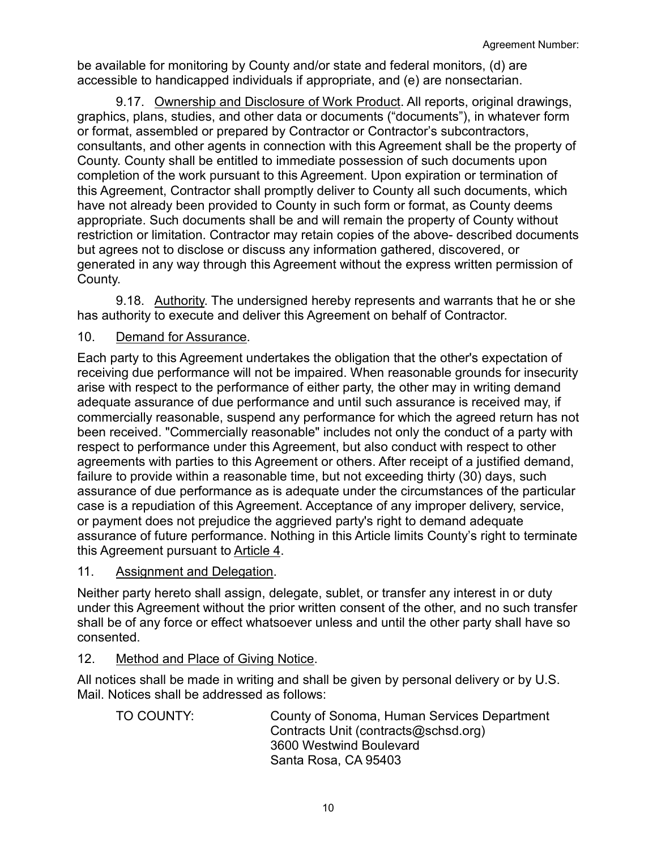be available for monitoring by County and/or state and federal monitors, (d) are accessible to handicapped individuals if appropriate, and (e) are nonsectarian.

9.17. Ownership and Disclosure of Work Product. All reports, original drawings, graphics, plans, studies, and other data or documents ("documents"), in whatever form or format, assembled or prepared by Contractor or Contractor's subcontractors, consultants, and other agents in connection with this Agreement shall be the property of County. County shall be entitled to immediate possession of such documents upon completion of the work pursuant to this Agreement. Upon expiration or termination of this Agreement, Contractor shall promptly deliver to County all such documents, which have not already been provided to County in such form or format, as County deems appropriate. Such documents shall be and will remain the property of County without restriction or limitation. Contractor may retain copies of the above- described documents but agrees not to disclose or discuss any information gathered, discovered, or generated in any way through this Agreement without the express written permission of County.

9.18. Authority. The undersigned hereby represents and warrants that he or she has authority to execute and deliver this Agreement on behalf of Contractor.

# 10. Demand for Assurance.

Each party to this Agreement undertakes the obligation that the other's expectation of receiving due performance will not be impaired. When reasonable grounds for insecurity arise with respect to the performance of either party, the other may in writing demand adequate assurance of due performance and until such assurance is received may, if commercially reasonable, suspend any performance for which the agreed return has not been received. "Commercially reasonable" includes not only the conduct of a party with respect to performance under this Agreement, but also conduct with respect to other agreements with parties to this Agreement or others. After receipt of a justified demand, failure to provide within a reasonable time, but not exceeding thirty (30) days, such assurance of due performance as is adequate under the circumstances of the particular case is a repudiation of this Agreement. Acceptance of any improper delivery, service, or payment does not prejudice the aggrieved party's right to demand adequate assurance of future performance. Nothing in this Article limits County's right to terminate this Agreement pursuant to Article 4.

11. Assignment and Delegation.

Neither party hereto shall assign, delegate, sublet, or transfer any interest in or duty under this Agreement without the prior written consent of the other, and no such transfer shall be of any force or effect whatsoever unless and until the other party shall have so consented.

12. Method and Place of Giving Notice.

All notices shall be made in writing and shall be given by personal delivery or by U.S. Mail. Notices shall be addressed as follows:

TO COUNTY: County of Sonoma, Human Services Department Contracts Unit (contracts@schsd.org) 3600 Westwind Boulevard Santa Rosa, CA 95403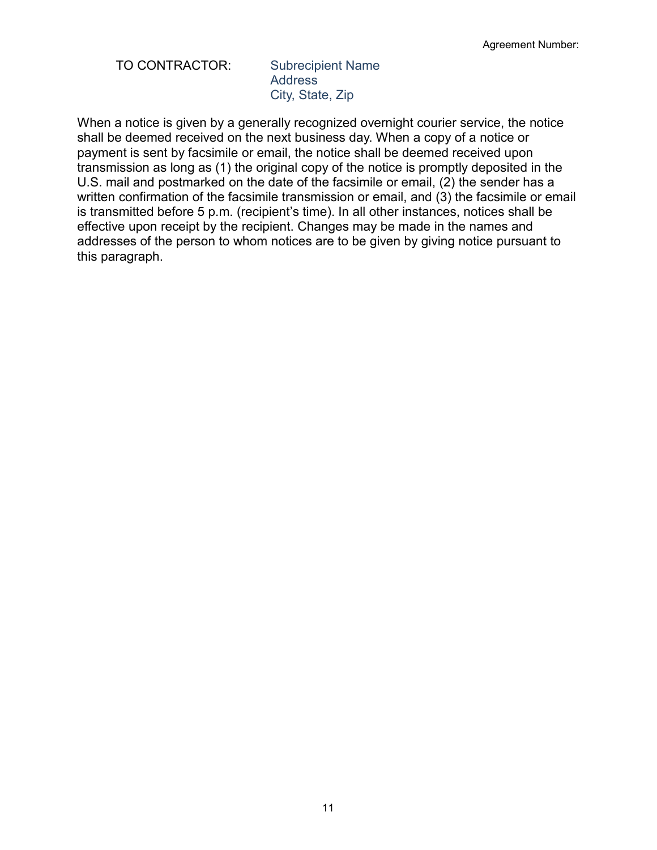#### TO CONTRACTOR: Subrecipient Name

**Address** City, State, Zip

When a notice is given by a generally recognized overnight courier service, the notice shall be deemed received on the next business day. When a copy of a notice or payment is sent by facsimile or email, the notice shall be deemed received upon transmission as long as (1) the original copy of the notice is promptly deposited in the U.S. mail and postmarked on the date of the facsimile or email, (2) the sender has a written confirmation of the facsimile transmission or email, and (3) the facsimile or email is transmitted before 5 p.m. (recipient's time). In all other instances, notices shall be effective upon receipt by the recipient. Changes may be made in the names and addresses of the person to whom notices are to be given by giving notice pursuant to this paragraph.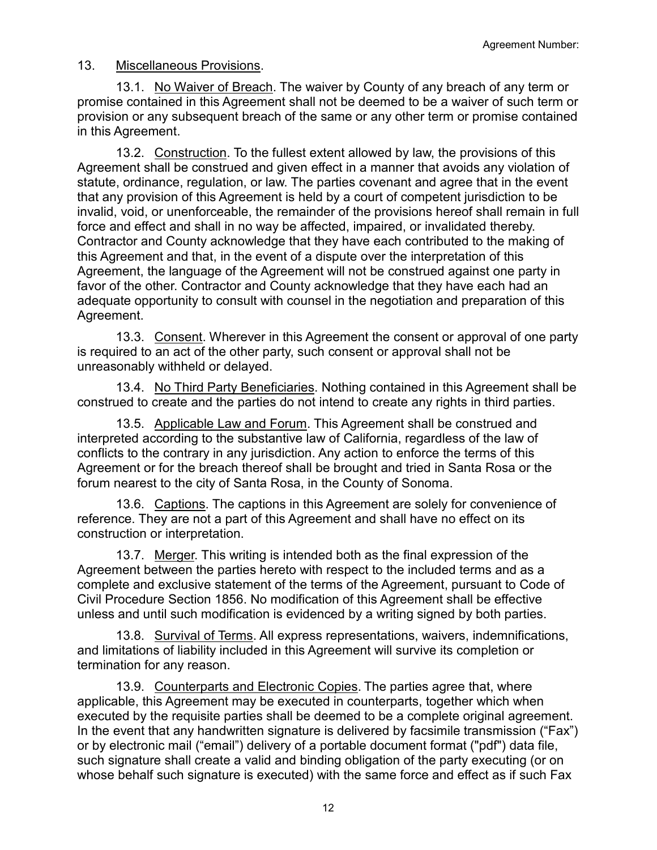#### 13. Miscellaneous Provisions.

13.1. No Waiver of Breach. The waiver by County of any breach of any term or promise contained in this Agreement shall not be deemed to be a waiver of such term or provision or any subsequent breach of the same or any other term or promise contained in this Agreement.

13.2. Construction. To the fullest extent allowed by law, the provisions of this Agreement shall be construed and given effect in a manner that avoids any violation of statute, ordinance, regulation, or law. The parties covenant and agree that in the event that any provision of this Agreement is held by a court of competent jurisdiction to be invalid, void, or unenforceable, the remainder of the provisions hereof shall remain in full force and effect and shall in no way be affected, impaired, or invalidated thereby. Contractor and County acknowledge that they have each contributed to the making of this Agreement and that, in the event of a dispute over the interpretation of this Agreement, the language of the Agreement will not be construed against one party in favor of the other. Contractor and County acknowledge that they have each had an adequate opportunity to consult with counsel in the negotiation and preparation of this Agreement.

13.3. Consent. Wherever in this Agreement the consent or approval of one party is required to an act of the other party, such consent or approval shall not be unreasonably withheld or delayed.

13.4. No Third Party Beneficiaries. Nothing contained in this Agreement shall be construed to create and the parties do not intend to create any rights in third parties.

13.5. Applicable Law and Forum. This Agreement shall be construed and interpreted according to the substantive law of California, regardless of the law of conflicts to the contrary in any jurisdiction. Any action to enforce the terms of this Agreement or for the breach thereof shall be brought and tried in Santa Rosa or the forum nearest to the city of Santa Rosa, in the County of Sonoma.

13.6. Captions. The captions in this Agreement are solely for convenience of reference. They are not a part of this Agreement and shall have no effect on its construction or interpretation.

13.7. Merger. This writing is intended both as the final expression of the Agreement between the parties hereto with respect to the included terms and as a complete and exclusive statement of the terms of the Agreement, pursuant to Code of Civil Procedure Section 1856. No modification of this Agreement shall be effective unless and until such modification is evidenced by a writing signed by both parties.

13.8. Survival of Terms. All express representations, waivers, indemnifications, and limitations of liability included in this Agreement will survive its completion or termination for any reason.

13.9. Counterparts and Electronic Copies. The parties agree that, where applicable, this Agreement may be executed in counterparts, together which when executed by the requisite parties shall be deemed to be a complete original agreement. In the event that any handwritten signature is delivered by facsimile transmission ("Fax") or by electronic mail ("email") delivery of a portable document format ("pdf") data file, such signature shall create a valid and binding obligation of the party executing (or on whose behalf such signature is executed) with the same force and effect as if such Fax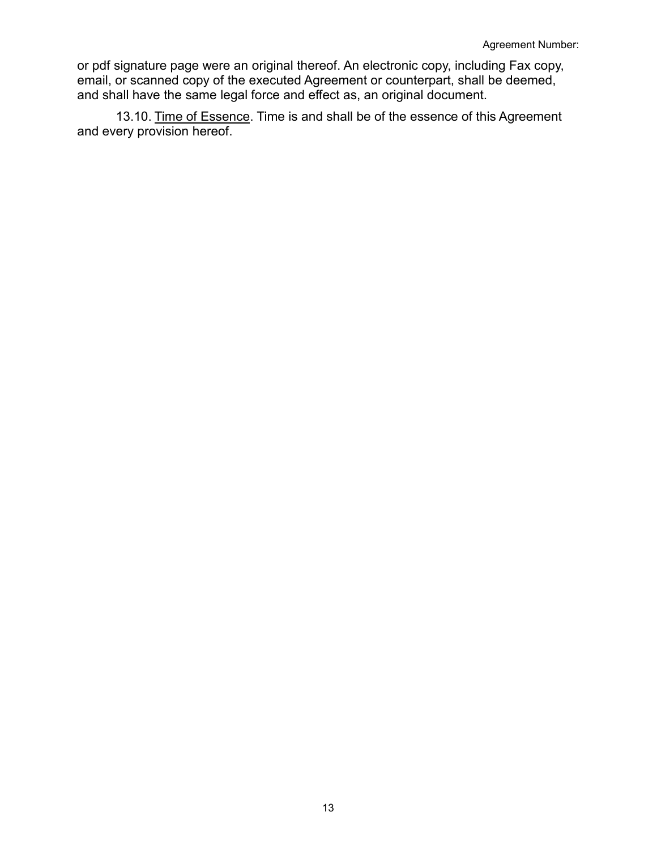or pdf signature page were an original thereof. An electronic copy, including Fax copy, email, or scanned copy of the executed Agreement or counterpart, shall be deemed, and shall have the same legal force and effect as, an original document.

13.10. Time of Essence. Time is and shall be of the essence of this Agreement and every provision hereof.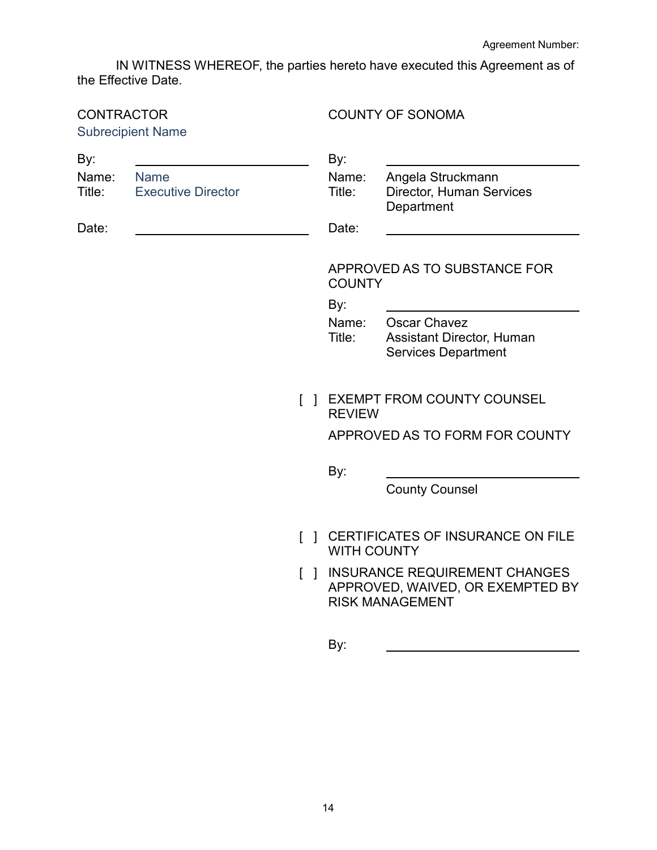IN WITNESS WHEREOF, the parties hereto have executed this Agreement as of the Effective Date.

| <b>CONTRACTOR</b><br><b>Subrecipient Name</b> |                                          |                          | <b>COUNTY OF SONOMA</b>        |                                                                                                    |
|-----------------------------------------------|------------------------------------------|--------------------------|--------------------------------|----------------------------------------------------------------------------------------------------|
| By:<br>Name:<br>Title:                        | <b>Name</b><br><b>Executive Director</b> |                          | By:<br>Name:<br>Title:         | Angela Struckmann<br>Director, Human Services<br>Department                                        |
| Date:                                         |                                          |                          | Date:                          |                                                                                                    |
|                                               |                                          |                          | <b>COUNTY</b>                  | APPROVED AS TO SUBSTANCE FOR                                                                       |
|                                               |                                          |                          | By:<br>Name:<br>Title:         | <b>Oscar Chavez</b><br>Assistant Director, Human<br><b>Services Department</b>                     |
|                                               |                                          | L<br>-1                  | <b>REVIEW</b>                  | <b>EXEMPT FROM COUNTY COUNSEL</b>                                                                  |
|                                               |                                          |                          | APPROVED AS TO FORM FOR COUNTY |                                                                                                    |
|                                               |                                          |                          | By:                            | <b>County Counsel</b>                                                                              |
|                                               |                                          | $\mathbf{1}$             | <b>WITH COUNTY</b>             | CERTIFICATES OF INSURANCE ON FILE                                                                  |
|                                               |                                          | $\Gamma$<br>$\mathbf{1}$ |                                | <b>INSURANCE REQUIREMENT CHANGES</b><br>APPROVED, WAIVED, OR EXEMPTED BY<br><b>RISK MANAGEMENT</b> |
|                                               |                                          |                          | By:                            |                                                                                                    |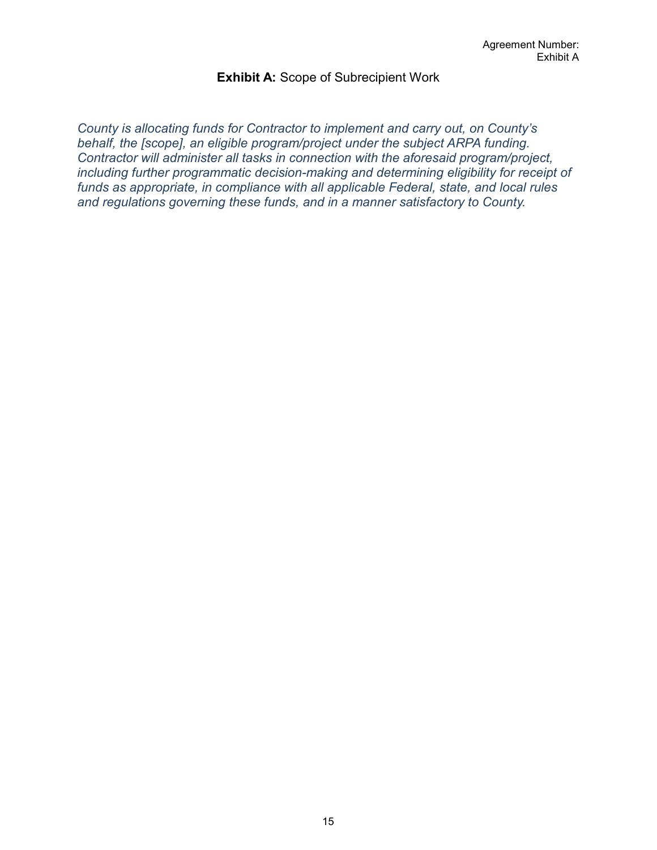#### **Exhibit A:** Scope of Subrecipient Work

*County is allocating funds for Contractor to implement and carry out, on County's behalf, the [scope], an eligible program/project under the subject ARPA funding. Contractor will administer all tasks in connection with the aforesaid program/project, including further programmatic decision-making and determining eligibility for receipt of funds as appropriate, in compliance with all applicable Federal, state, and local rules and regulations governing these funds, and in a manner satisfactory to County.*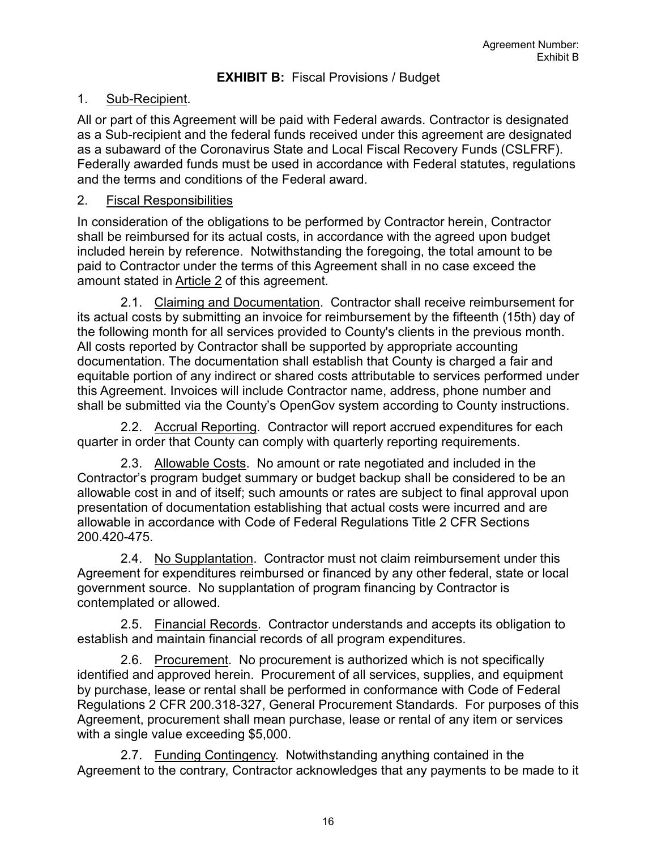# **EXHIBIT B:** Fiscal Provisions / Budget

### 1. Sub-Recipient.

All or part of this Agreement will be paid with Federal awards. Contractor is designated as a Sub-recipient and the federal funds received under this agreement are designated as a subaward of the Coronavirus State and Local Fiscal Recovery Funds (CSLFRF). Federally awarded funds must be used in accordance with Federal statutes, regulations and the terms and conditions of the Federal award.

#### 2. Fiscal Responsibilities

In consideration of the obligations to be performed by Contractor herein, Contractor shall be reimbursed for its actual costs, in accordance with the agreed upon budget included herein by reference. Notwithstanding the foregoing, the total amount to be paid to Contractor under the terms of this Agreement shall in no case exceed the amount stated in Article 2 of this agreement.

2.1. Claiming and Documentation. Contractor shall receive reimbursement for its actual costs by submitting an invoice for reimbursement by the fifteenth (15th) day of the following month for all services provided to County's clients in the previous month. All costs reported by Contractor shall be supported by appropriate accounting documentation. The documentation shall establish that County is charged a fair and equitable portion of any indirect or shared costs attributable to services performed under this Agreement. Invoices will include Contractor name, address, phone number and shall be submitted via the County's OpenGov system according to County instructions.

2.2. Accrual Reporting. Contractor will report accrued expenditures for each quarter in order that County can comply with quarterly reporting requirements.

2.3. Allowable Costs. No amount or rate negotiated and included in the Contractor's program budget summary or budget backup shall be considered to be an allowable cost in and of itself; such amounts or rates are subject to final approval upon presentation of documentation establishing that actual costs were incurred and are allowable in accordance with Code of Federal Regulations Title 2 CFR Sections 200.420-475.

2.4. No Supplantation. Contractor must not claim reimbursement under this Agreement for expenditures reimbursed or financed by any other federal, state or local government source. No supplantation of program financing by Contractor is contemplated or allowed.

2.5. Financial Records. Contractor understands and accepts its obligation to establish and maintain financial records of all program expenditures.

2.6. Procurement. No procurement is authorized which is not specifically identified and approved herein. Procurement of all services, supplies, and equipment by purchase, lease or rental shall be performed in conformance with Code of Federal Regulations 2 CFR 200.318-327, General Procurement Standards. For purposes of this Agreement, procurement shall mean purchase, lease or rental of any item or services with a single value exceeding \$5,000.

2.7. Funding Contingency. Notwithstanding anything contained in the Agreement to the contrary, Contractor acknowledges that any payments to be made to it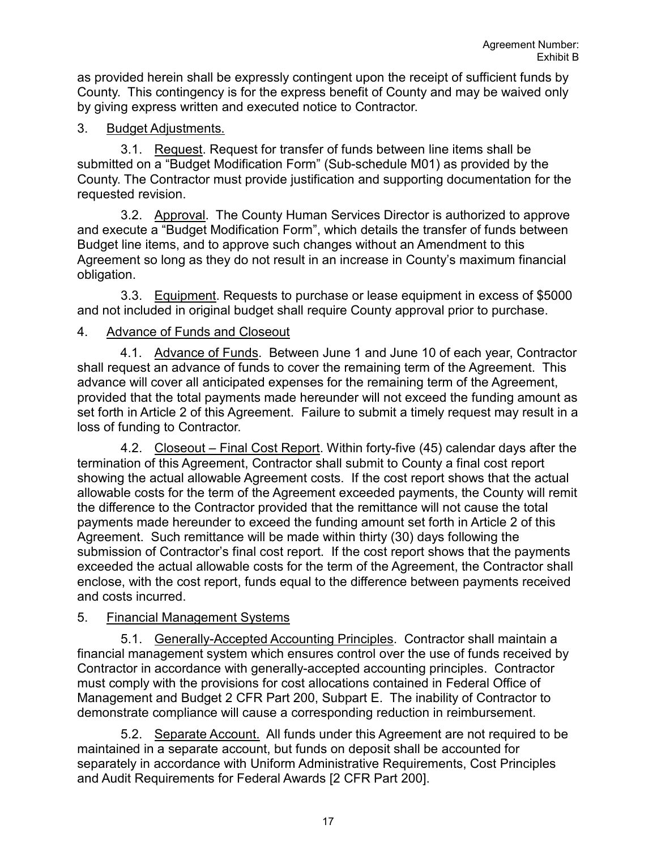as provided herein shall be expressly contingent upon the receipt of sufficient funds by County. This contingency is for the express benefit of County and may be waived only by giving express written and executed notice to Contractor.

# 3. Budget Adjustments.

3.1. Request. Request for transfer of funds between line items shall be submitted on a "Budget Modification Form" (Sub-schedule M01) as provided by the County. The Contractor must provide justification and supporting documentation for the requested revision.

3.2. Approval. The County Human Services Director is authorized to approve and execute a "Budget Modification Form", which details the transfer of funds between Budget line items, and to approve such changes without an Amendment to this Agreement so long as they do not result in an increase in County's maximum financial obligation.

3.3. Equipment. Requests to purchase or lease equipment in excess of \$5000 and not included in original budget shall require County approval prior to purchase.

# 4. Advance of Funds and Closeout

4.1. Advance of Funds. Between June 1 and June 10 of each year, Contractor shall request an advance of funds to cover the remaining term of the Agreement. This advance will cover all anticipated expenses for the remaining term of the Agreement, provided that the total payments made hereunder will not exceed the funding amount as set forth in Article 2 of this Agreement. Failure to submit a timely request may result in a loss of funding to Contractor.

4.2. Closeout – Final Cost Report. Within forty-five (45) calendar days after the termination of this Agreement, Contractor shall submit to County a final cost report showing the actual allowable Agreement costs. If the cost report shows that the actual allowable costs for the term of the Agreement exceeded payments, the County will remit the difference to the Contractor provided that the remittance will not cause the total payments made hereunder to exceed the funding amount set forth in Article 2 of this Agreement. Such remittance will be made within thirty (30) days following the submission of Contractor's final cost report. If the cost report shows that the payments exceeded the actual allowable costs for the term of the Agreement, the Contractor shall enclose, with the cost report, funds equal to the difference between payments received and costs incurred.

# 5. Financial Management Systems

5.1. Generally-Accepted Accounting Principles. Contractor shall maintain a financial management system which ensures control over the use of funds received by Contractor in accordance with generally-accepted accounting principles. Contractor must comply with the provisions for cost allocations contained in Federal Office of Management and Budget 2 CFR Part 200, Subpart E. The inability of Contractor to demonstrate compliance will cause a corresponding reduction in reimbursement.

5.2. Separate Account. All funds under this Agreement are not required to be maintained in a separate account, but funds on deposit shall be accounted for separately in accordance with Uniform Administrative Requirements, Cost Principles and Audit Requirements for Federal Awards [2 CFR Part 200].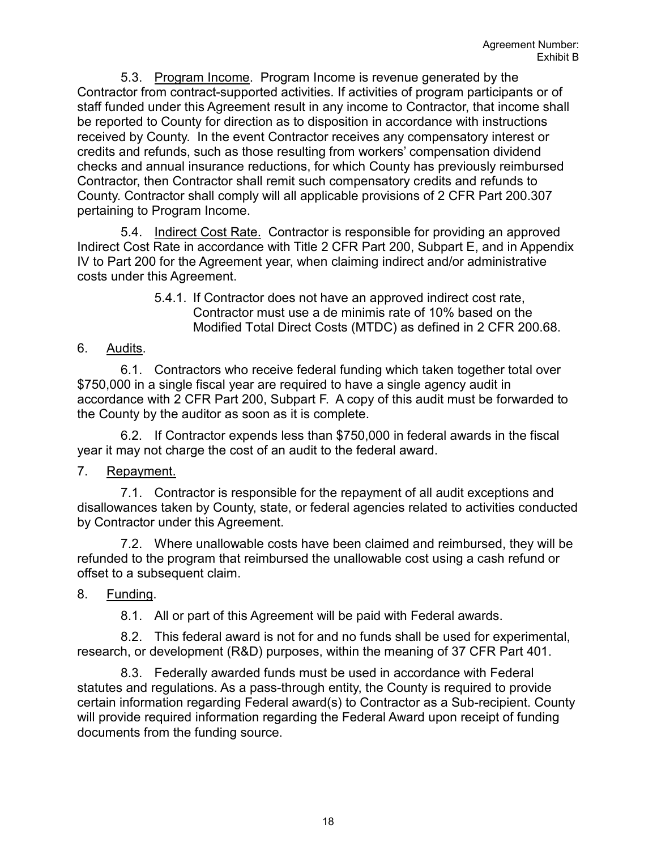5.3. Program Income. Program Income is revenue generated by the Contractor from contract-supported activities. If activities of program participants or of staff funded under this Agreement result in any income to Contractor, that income shall be reported to County for direction as to disposition in accordance with instructions received by County. In the event Contractor receives any compensatory interest or credits and refunds, such as those resulting from workers' compensation dividend checks and annual insurance reductions, for which County has previously reimbursed Contractor, then Contractor shall remit such compensatory credits and refunds to County. Contractor shall comply will all applicable provisions of 2 CFR Part 200.307 pertaining to Program Income.

5.4. Indirect Cost Rate. Contractor is responsible for providing an approved Indirect Cost Rate in accordance with Title 2 CFR Part 200, Subpart E, and in Appendix IV to Part 200 for the Agreement year, when claiming indirect and/or administrative costs under this Agreement.

> 5.4.1. If Contractor does not have an approved indirect cost rate, Contractor must use a de minimis rate of 10% based on the Modified Total Direct Costs (MTDC) as defined in 2 CFR 200.68.

# 6. Audits.

6.1. Contractors who receive federal funding which taken together total over \$750,000 in a single fiscal year are required to have a single agency audit in accordance with 2 CFR Part 200, Subpart F. A copy of this audit must be forwarded to the County by the auditor as soon as it is complete.

6.2. If Contractor expends less than \$750,000 in federal awards in the fiscal year it may not charge the cost of an audit to the federal award.

# 7. Repayment.

7.1. Contractor is responsible for the repayment of all audit exceptions and disallowances taken by County, state, or federal agencies related to activities conducted by Contractor under this Agreement.

7.2. Where unallowable costs have been claimed and reimbursed, they will be refunded to the program that reimbursed the unallowable cost using a cash refund or offset to a subsequent claim.

# 8. Funding.

8.1. All or part of this Agreement will be paid with Federal awards.

8.2. This federal award is not for and no funds shall be used for experimental, research, or development (R&D) purposes, within the meaning of 37 CFR Part 401.

8.3. Federally awarded funds must be used in accordance with Federal statutes and regulations. As a pass-through entity, the County is required to provide certain information regarding Federal award(s) to Contractor as a Sub-recipient. County will provide required information regarding the Federal Award upon receipt of funding documents from the funding source.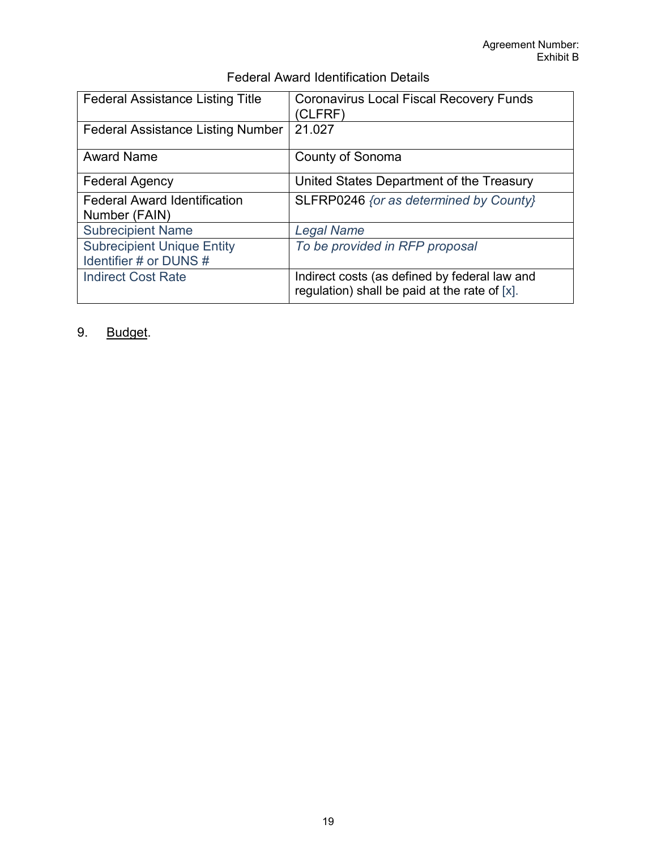| <b>Federal Assistance Listing Title</b>                     | <b>Coronavirus Local Fiscal Recovery Funds</b><br>(CLFRF)                                      |
|-------------------------------------------------------------|------------------------------------------------------------------------------------------------|
| <b>Federal Assistance Listing Number</b>                    | 21.027                                                                                         |
| <b>Award Name</b>                                           | County of Sonoma                                                                               |
| <b>Federal Agency</b>                                       | United States Department of the Treasury                                                       |
| <b>Federal Award Identification</b><br>Number (FAIN)        | SLFRP0246 for as determined by County}                                                         |
| <b>Subrecipient Name</b>                                    | <b>Legal Name</b>                                                                              |
| <b>Subrecipient Unique Entity</b><br>Identifier # or DUNS # | To be provided in RFP proposal                                                                 |
| <b>Indirect Cost Rate</b>                                   | Indirect costs (as defined by federal law and<br>regulation) shall be paid at the rate of [x]. |

# Federal Award Identification Details

# 9. Budget.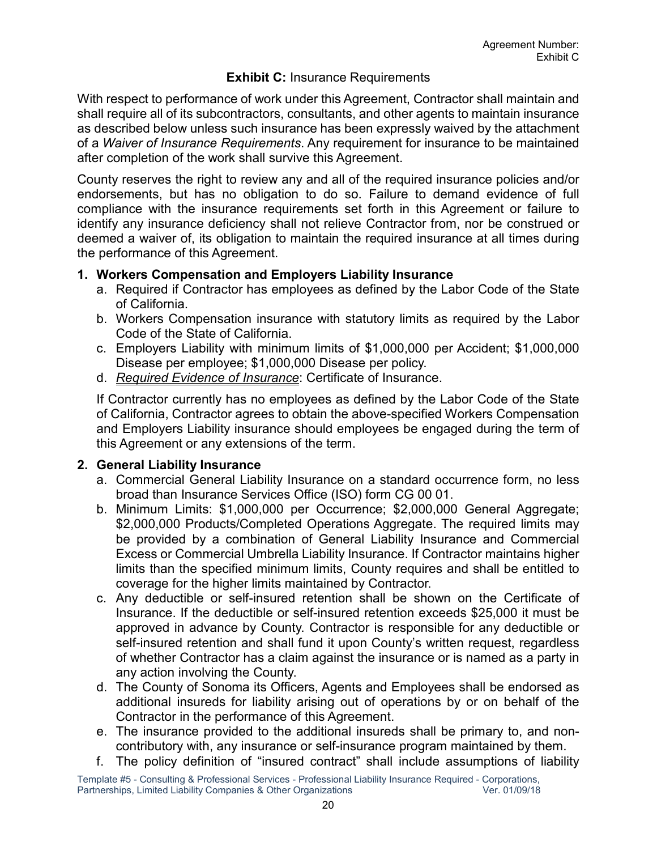# **Exhibit C:** Insurance Requirements

With respect to performance of work under this Agreement, Contractor shall maintain and shall require all of its subcontractors, consultants, and other agents to maintain insurance as described below unless such insurance has been expressly waived by the attachment of a *Waiver of Insurance Requirements*. Any requirement for insurance to be maintained after completion of the work shall survive this Agreement.

County reserves the right to review any and all of the required insurance policies and/or endorsements, but has no obligation to do so. Failure to demand evidence of full compliance with the insurance requirements set forth in this Agreement or failure to identify any insurance deficiency shall not relieve Contractor from, nor be construed or deemed a waiver of, its obligation to maintain the required insurance at all times during the performance of this Agreement.

### **1. Workers Compensation and Employers Liability Insurance**

- a. Required if Contractor has employees as defined by the Labor Code of the State of California.
- b. Workers Compensation insurance with statutory limits as required by the Labor Code of the State of California.
- c. Employers Liability with minimum limits of \$1,000,000 per Accident; \$1,000,000 Disease per employee; \$1,000,000 Disease per policy.
- d. *Required Evidence of Insurance*: Certificate of Insurance.

If Contractor currently has no employees as defined by the Labor Code of the State of California, Contractor agrees to obtain the above-specified Workers Compensation and Employers Liability insurance should employees be engaged during the term of this Agreement or any extensions of the term.

# **2. General Liability Insurance**

- a. Commercial General Liability Insurance on a standard occurrence form, no less broad than Insurance Services Office (ISO) form CG 00 01.
- b. Minimum Limits: \$1,000,000 per Occurrence; \$2,000,000 General Aggregate; \$2,000,000 Products/Completed Operations Aggregate. The required limits may be provided by a combination of General Liability Insurance and Commercial Excess or Commercial Umbrella Liability Insurance. If Contractor maintains higher limits than the specified minimum limits, County requires and shall be entitled to coverage for the higher limits maintained by Contractor.
- c. Any deductible or self-insured retention shall be shown on the Certificate of Insurance. If the deductible or self-insured retention exceeds \$25,000 it must be approved in advance by County. Contractor is responsible for any deductible or self-insured retention and shall fund it upon County's written request, regardless of whether Contractor has a claim against the insurance or is named as a party in any action involving the County.
- d. The County of Sonoma its Officers, Agents and Employees shall be endorsed as additional insureds for liability arising out of operations by or on behalf of the Contractor in the performance of this Agreement.
- e. The insurance provided to the additional insureds shall be primary to, and noncontributory with, any insurance or self-insurance program maintained by them.
- f. The policy definition of "insured contract" shall include assumptions of liability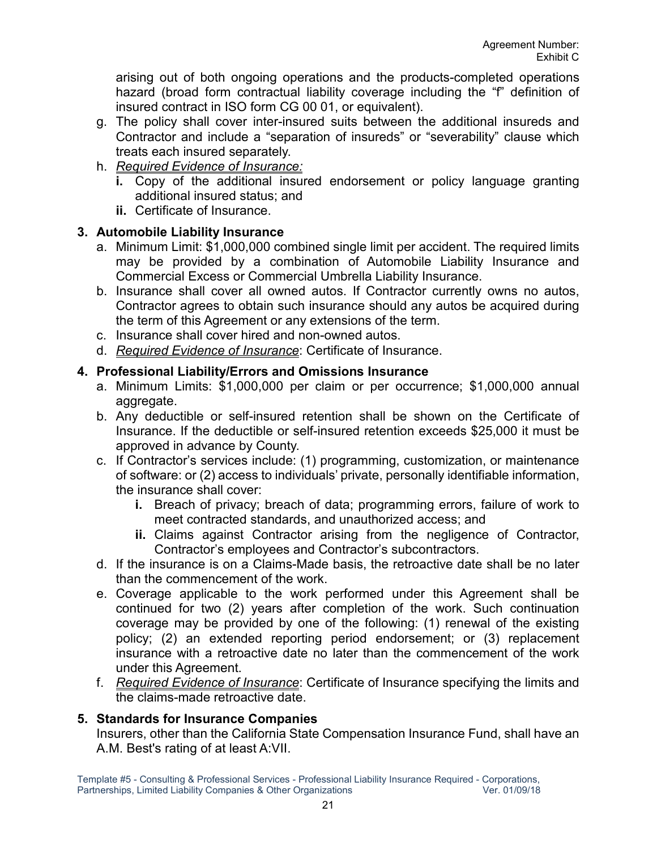arising out of both ongoing operations and the products-completed operations hazard (broad form contractual liability coverage including the "f" definition of insured contract in ISO form CG 00 01, or equivalent).

- g. The policy shall cover inter-insured suits between the additional insureds and Contractor and include a "separation of insureds" or "severability" clause which treats each insured separately.
- h. *Required Evidence of Insurance:*
	- **i.** Copy of the additional insured endorsement or policy language granting additional insured status; and
	- **ii.** Certificate of Insurance.

# **3. Automobile Liability Insurance**

- a. Minimum Limit: \$1,000,000 combined single limit per accident. The required limits may be provided by a combination of Automobile Liability Insurance and Commercial Excess or Commercial Umbrella Liability Insurance.
- b. Insurance shall cover all owned autos. If Contractor currently owns no autos, Contractor agrees to obtain such insurance should any autos be acquired during the term of this Agreement or any extensions of the term.
- c. Insurance shall cover hired and non-owned autos.
- d. *Required Evidence of Insurance*: Certificate of Insurance.

# **4. Professional Liability/Errors and Omissions Insurance**

- a. Minimum Limits: \$1,000,000 per claim or per occurrence; \$1,000,000 annual aggregate.
- b. Any deductible or self-insured retention shall be shown on the Certificate of Insurance. If the deductible or self-insured retention exceeds \$25,000 it must be approved in advance by County.
- c. If Contractor's services include: (1) programming, customization, or maintenance of software: or (2) access to individuals' private, personally identifiable information, the insurance shall cover:
	- **i.** Breach of privacy; breach of data; programming errors, failure of work to meet contracted standards, and unauthorized access; and
	- **ii.** Claims against Contractor arising from the negligence of Contractor, Contractor's employees and Contractor's subcontractors.
- d. If the insurance is on a Claims-Made basis, the retroactive date shall be no later than the commencement of the work.
- e. Coverage applicable to the work performed under this Agreement shall be continued for two (2) years after completion of the work. Such continuation coverage may be provided by one of the following: (1) renewal of the existing policy; (2) an extended reporting period endorsement; or (3) replacement insurance with a retroactive date no later than the commencement of the work under this Agreement.
- f. *Required Evidence of Insurance*: Certificate of Insurance specifying the limits and the claims-made retroactive date.

# **5. Standards for Insurance Companies**

Insurers, other than the California State Compensation Insurance Fund, shall have an A.M. Best's rating of at least A:VII.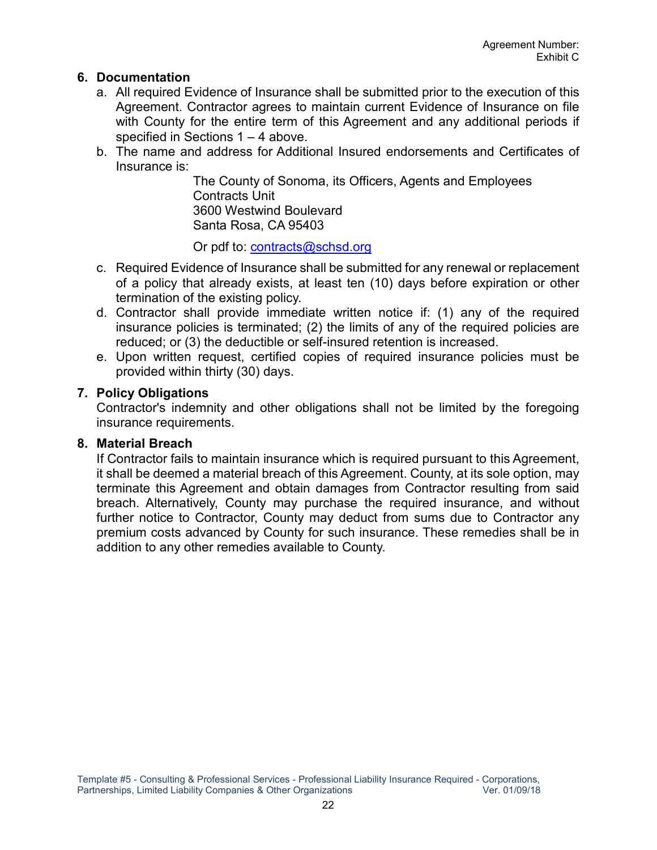### **6. Documentation**

- a. All required Evidence of Insurance shall be submitted prior to the execution of this Agreement. Contractor agrees to maintain current Evidence of Insurance on file with County for the entire term of this Agreement and any additional periods if specified in Sections 1 – 4 above.
- b. The name and address for Additional Insured endorsements and Certificates of Insurance is:

The County of Sonoma, its Officers, Agents and Employees Contracts Unit 3600 Westwind Boulevard Santa Rosa, CA 95403

Or pdf to: [contracts@schsd.org](mailto:contracts@schsd.org)

- c. Required Evidence of Insurance shall be submitted for any renewal or replacement of a policy that already exists, at least ten (10) days before expiration or other termination of the existing policy.
- d. Contractor shall provide immediate written notice if: (1) any of the required insurance policies is terminated; (2) the limits of any of the required policies are reduced; or (3) the deductible or self-insured retention is increased.
- e. Upon written request, certified copies of required insurance policies must be provided within thirty (30) days.

#### **7. Policy Obligations**

Contractor's indemnity and other obligations shall not be limited by the foregoing insurance requirements.

#### **8. Material Breach**

If Contractor fails to maintain insurance which is required pursuant to this Agreement, it shall be deemed a material breach of this Agreement. County, at its sole option, may terminate this Agreement and obtain damages from Contractor resulting from said breach. Alternatively, County may purchase the required insurance, and without further notice to Contractor, County may deduct from sums due to Contractor any premium costs advanced by County for such insurance. These remedies shall be in addition to any other remedies available to County.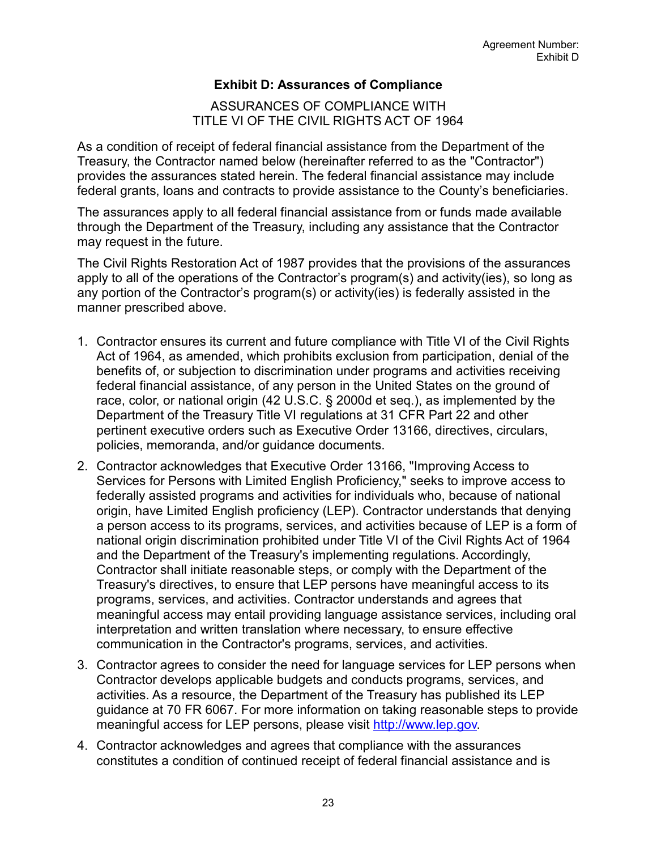# **Exhibit D: Assurances of Compliance**

#### ASSURANCES OF COMPLIANCE WITH TITLE VI OF THE CIVIL RIGHTS ACT OF 1964

As a condition of receipt of federal financial assistance from the Department of the Treasury, the Contractor named below (hereinafter referred to as the "Contractor") provides the assurances stated herein. The federal financial assistance may include federal grants, loans and contracts to provide assistance to the County's beneficiaries.

The assurances apply to all federal financial assistance from or funds made available through the Department of the Treasury, including any assistance that the Contractor may request in the future.

The Civil Rights Restoration Act of 1987 provides that the provisions of the assurances apply to all of the operations of the Contractor's program(s) and activity(ies), so long as any portion of the Contractor's program(s) or activity(ies) is federally assisted in the manner prescribed above.

- 1. Contractor ensures its current and future compliance with Title VI of the Civil Rights Act of 1964, as amended, which prohibits exclusion from participation, denial of the benefits of, or subjection to discrimination under programs and activities receiving federal financial assistance, of any person in the United States on the ground of race, color, or national origin (42 U.S.C. § 2000d et seq.), as implemented by the Department of the Treasury Title VI regulations at 31 CFR Part 22 and other pertinent executive orders such as Executive Order 13166, directives, circulars, policies, memoranda, and/or guidance documents.
- 2. Contractor acknowledges that Executive Order 13166, "Improving Access to Services for Persons with Limited English Proficiency," seeks to improve access to federally assisted programs and activities for individuals who, because of national origin, have Limited English proficiency (LEP). Contractor understands that denying a person access to its programs, services, and activities because of LEP is a form of national origin discrimination prohibited under Title VI of the Civil Rights Act of 1964 and the Department of the Treasury's implementing regulations. Accordingly, Contractor shall initiate reasonable steps, or comply with the Department of the Treasury's directives, to ensure that LEP persons have meaningful access to its programs, services, and activities. Contractor understands and agrees that meaningful access may entail providing language assistance services, including oral interpretation and written translation where necessary, to ensure effective communication in the Contractor's programs, services, and activities.
- 3. Contractor agrees to consider the need for language services for LEP persons when Contractor develops applicable budgets and conducts programs, services, and activities. As a resource, the Department of the Treasury has published its LEP guidance at 70 FR 6067. For more information on taking reasonable steps to provide meaningful access for LEP persons, please visit [http://www.lep.gov.](http://www.lep.gov/)
- 4. Contractor acknowledges and agrees that compliance with the assurances constitutes a condition of continued receipt of federal financial assistance and is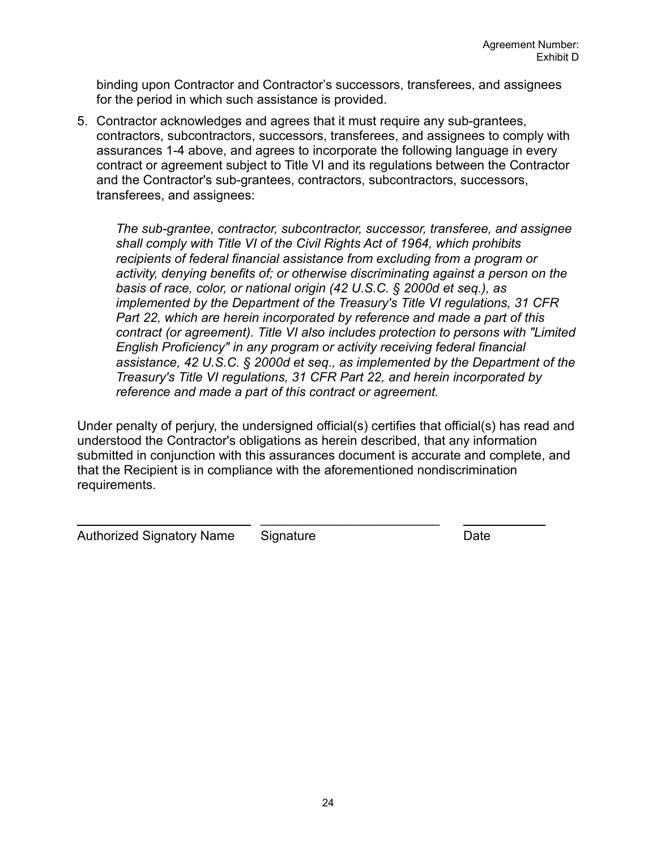binding upon Contractor and Contractor's successors, transferees, and assignees for the period in which such assistance is provided.

5. Contractor acknowledges and agrees that it must require any sub-grantees, contractors, subcontractors, successors, transferees, and assignees to comply with assurances 1-4 above, and agrees to incorporate the following language in every contract or agreement subject to Title VI and its regulations between the Contractor and the Contractor's sub-grantees, contractors, subcontractors, successors, transferees, and assignees:

*The sub-grantee, contractor, subcontractor, successor, transferee, and assignee shall comply with Title VI of the Civil Rights Act of 1964, which prohibits recipients of federal financial assistance from excluding from a program or activity, denying benefits of; or otherwise discriminating against a person on the basis of race, color, or national origin (42 U.S.C. § 2000d et seq.), as implemented by the Department of the Treasury's Title VI regulations, 31 CFR Part 22, which are herein incorporated by reference and made a part of this contract (or agreement). Title VI also includes protection to persons with "Limited English Proficiency" in any program or activity receiving federal financial assistance, 42 U.S.C. § 2000d et seq., as implemented by the Department of the Treasury's Title VI regulations, 31 CFR Part 22, and herein incorporated by reference and made a part of this contract or agreement.*

Under penalty of perjury, the undersigned official(s) certifies that official(s) has read and understood the Contractor's obligations as herein described, that any information submitted in conjunction with this assurances document is accurate and complete, and that the Recipient is in compliance with the aforementioned nondiscrimination requirements.

Authorized Signatory Name Signature **Date** Date

\_\_\_\_\_\_\_\_\_\_\_\_\_\_\_\_\_\_\_\_\_\_\_\_\_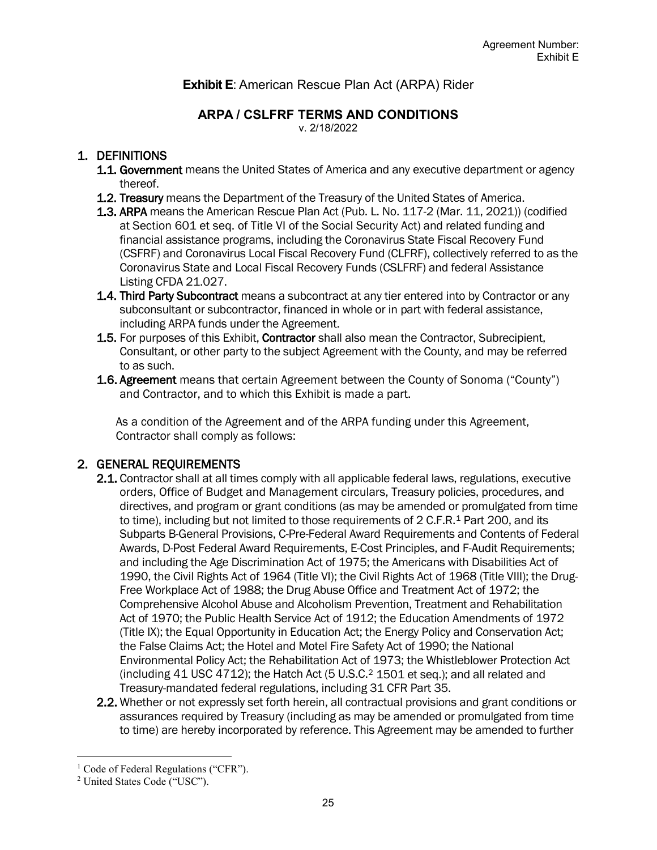# **Exhibit E**: American Rescue Plan Act (ARPA) Rider

# **ARPA / CSLFRF TERMS AND CONDITIONS**

v. 2/18/2022

### 1. DEFINITIONS

- **1.1. Government** means the United States of America and any executive department or agency thereof.
- **1.2. Treasury** means the Department of the Treasury of the United States of America.
- 1.3. ARPA means the American Rescue Plan Act (Pub. L. No. 117-2 (Mar. 11, 2021)) (codified at Section 601 et seq. of Title VI of the Social Security Act) and related funding and financial assistance programs, including the Coronavirus State Fiscal Recovery Fund (CSFRF) and Coronavirus Local Fiscal Recovery Fund (CLFRF), collectively referred to as the Coronavirus State and Local Fiscal Recovery Funds (CSLFRF) and federal Assistance Listing CFDA 21.027.
- 1.4. Third Party Subcontract means a subcontract at any tier entered into by Contractor or any subconsultant or subcontractor, financed in whole or in part with federal assistance, including ARPA funds under the Agreement.
- **1.5.** For purposes of this Exhibit, **Contractor** shall also mean the Contractor, Subrecipient, Consultant, or other party to the subject Agreement with the County, and may be referred to as such.
- **1.6. Agreement** means that certain Agreement between the County of Sonoma ("County") and Contractor, and to which this Exhibit is made a part.

As a condition of the Agreement and of the ARPA funding under this Agreement, Contractor shall comply as follows:

#### 2. GENERAL REQUIREMENTS

- 2.1. Contractor shall at all times comply with all applicable federal laws, regulations, executive orders, Office of Budget and Management circulars, Treasury policies, procedures, and directives, and program or grant conditions (as may be amended or promulgated from time to time), including but not limited to those requirements of 2 C.F.R.<sup>[1](#page-25-0)</sup> Part 200, and its Subparts B-General Provisions, C-Pre-Federal Award Requirements and Contents of Federal Awards, D-Post Federal Award Requirements, E-Cost Principles, and F-Audit Requirements; and including the Age Discrimination Act of 1975; the Americans with Disabilities Act of 1990, the Civil Rights Act of 1964 (Title VI); the Civil Rights Act of 1968 (Title VIII); the Drug-Free Workplace Act of 1988; the Drug Abuse Office and Treatment Act of 1972; the Comprehensive Alcohol Abuse and Alcoholism Prevention, Treatment and Rehabilitation Act of 1970; the Public Health Service Act of 1912; the Education Amendments of 1972 (Title IX); the Equal Opportunity in Education Act; the Energy Policy and Conservation Act; the False Claims Act; the Hotel and Motel Fire Safety Act of 1990; the National Environmental Policy Act; the Rehabilitation Act of 1973; the Whistleblower Protection Act (including 41 USC 4712); the Hatch Act (5 U.S.C[.2](#page-25-1) 1501 et seq.); and all related and Treasury-mandated federal regulations, including 31 CFR Part 35.
- 2.2. Whether or not expressly set forth herein, all contractual provisions and grant conditions or assurances required by Treasury (including as may be amended or promulgated from time to time) are hereby incorporated by reference. This Agreement may be amended to further

 $\overline{a}$ <sup>1</sup> Code of Federal Regulations ("CFR").

<span id="page-25-1"></span><span id="page-25-0"></span><sup>2</sup> United States Code ("USC").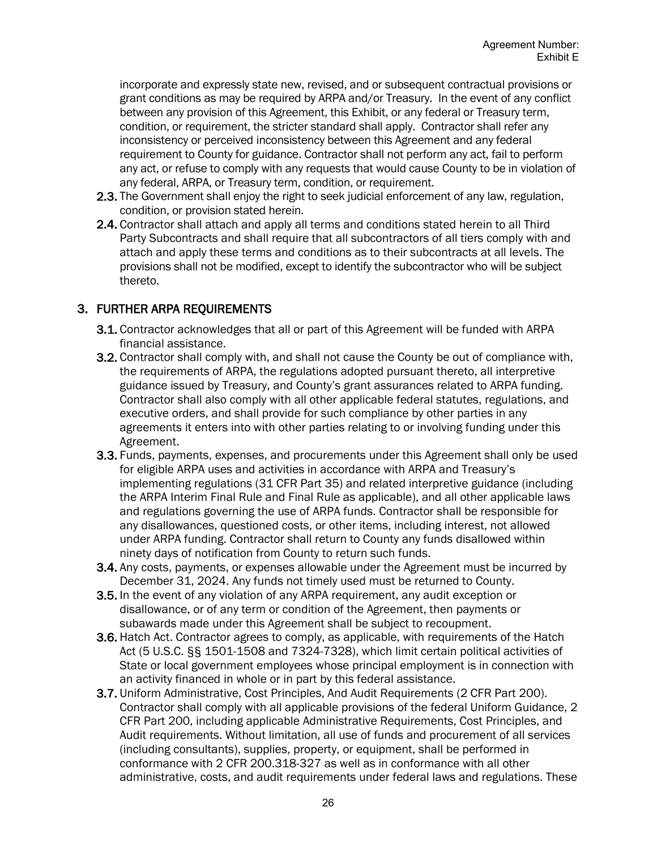incorporate and expressly state new, revised, and or subsequent contractual provisions or grant conditions as may be required by ARPA and/or Treasury. In the event of any conflict between any provision of this Agreement, this Exhibit, or any federal or Treasury term, condition, or requirement, the stricter standard shall apply. Contractor shall refer any inconsistency or perceived inconsistency between this Agreement and any federal requirement to County for guidance. Contractor shall not perform any act, fail to perform any act, or refuse to comply with any requests that would cause County to be in violation of any federal, ARPA, or Treasury term, condition, or requirement.

- 2.3. The Government shall enjoy the right to seek judicial enforcement of any law, regulation, condition, or provision stated herein.
- 2.4. Contractor shall attach and apply all terms and conditions stated herein to all Third Party Subcontracts and shall require that all subcontractors of all tiers comply with and attach and apply these terms and conditions as to their subcontracts at all levels. The provisions shall not be modified, except to identify the subcontractor who will be subject thereto.

# 3. FURTHER ARPA REQUIREMENTS

- **3.1.** Contractor acknowledges that all or part of this Agreement will be funded with ARPA financial assistance.
- 3.2. Contractor shall comply with, and shall not cause the County be out of compliance with, the requirements of ARPA, the regulations adopted pursuant thereto, all interpretive guidance issued by Treasury, and County's grant assurances related to ARPA funding. Contractor shall also comply with all other applicable federal statutes, regulations, and executive orders, and shall provide for such compliance by other parties in any agreements it enters into with other parties relating to or involving funding under this Agreement.
- 3.3. Funds, payments, expenses, and procurements under this Agreement shall only be used for eligible ARPA uses and activities in accordance with ARPA and Treasury's implementing regulations (31 CFR Part 35) and related interpretive guidance (including the ARPA Interim Final Rule and Final Rule as applicable), and all other applicable laws and regulations governing the use of ARPA funds. Contractor shall be responsible for any disallowances, questioned costs, or other items, including interest, not allowed under ARPA funding. Contractor shall return to County any funds disallowed within ninety days of notification from County to return such funds.
- 3.4. Any costs, payments, or expenses allowable under the Agreement must be incurred by December 31, 2024. Any funds not timely used must be returned to County.
- 3.5. In the event of any violation of any ARPA requirement, any audit exception or disallowance, or of any term or condition of the Agreement, then payments or subawards made under this Agreement shall be subject to recoupment.
- 3.6. Hatch Act. Contractor agrees to comply, as applicable, with requirements of the Hatch Act (5 U.S.C. §§ 1501-1508 and 7324-7328), which limit certain political activities of State or local government employees whose principal employment is in connection with an activity financed in whole or in part by this federal assistance.
- 3.7. Uniform Administrative, Cost Principles, And Audit Requirements (2 CFR Part 200). Contractor shall comply with all applicable provisions of the federal Uniform Guidance, 2 CFR Part 200, including applicable Administrative Requirements, Cost Principles, and Audit requirements. Without limitation, all use of funds and procurement of all services (including consultants), supplies, property, or equipment, shall be performed in conformance with 2 CFR 200.318-327 as well as in conformance with all other administrative, costs, and audit requirements under federal laws and regulations. These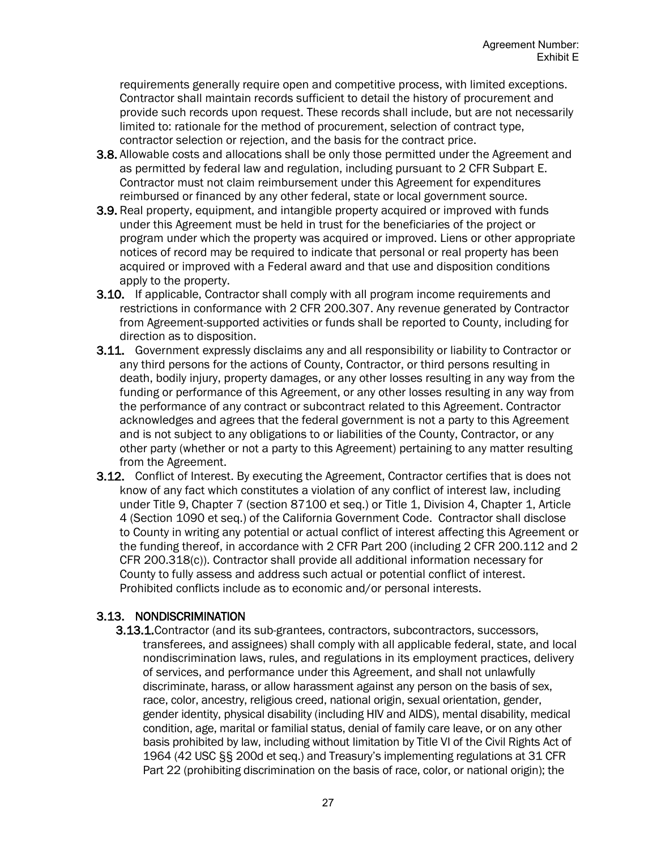requirements generally require open and competitive process, with limited exceptions. Contractor shall maintain records sufficient to detail the history of procurement and provide such records upon request. These records shall include, but are not necessarily limited to: rationale for the method of procurement, selection of contract type, contractor selection or rejection, and the basis for the contract price.

- **3.8.** Allowable costs and allocations shall be only those permitted under the Agreement and as permitted by federal law and regulation, including pursuant to 2 CFR Subpart E. Contractor must not claim reimbursement under this Agreement for expenditures reimbursed or financed by any other federal, state or local government source.
- 3.9. Real property, equipment, and intangible property acquired or improved with funds under this Agreement must be held in trust for the beneficiaries of the project or program under which the property was acquired or improved. Liens or other appropriate notices of record may be required to indicate that personal or real property has been acquired or improved with a Federal award and that use and disposition conditions apply to the property.
- **3.10.** If applicable, Contractor shall comply with all program income requirements and restrictions in conformance with 2 CFR 200.307. Any revenue generated by Contractor from Agreement-supported activities or funds shall be reported to County, including for direction as to disposition.
- **3.11.** Government expressly disclaims any and all responsibility or liability to Contractor or any third persons for the actions of County, Contractor, or third persons resulting in death, bodily injury, property damages, or any other losses resulting in any way from the funding or performance of this Agreement, or any other losses resulting in any way from the performance of any contract or subcontract related to this Agreement. Contractor acknowledges and agrees that the federal government is not a party to this Agreement and is not subject to any obligations to or liabilities of the County, Contractor, or any other party (whether or not a party to this Agreement) pertaining to any matter resulting from the Agreement.
- 3.12. Conflict of Interest. By executing the Agreement, Contractor certifies that is does not know of any fact which constitutes a violation of any conflict of interest law, including under Title 9, Chapter 7 (section 87100 et seq.) or Title 1, Division 4, Chapter 1, Article 4 (Section 1090 et seq.) of the California Government Code. Contractor shall disclose to County in writing any potential or actual conflict of interest affecting this Agreement or the funding thereof, in accordance with 2 CFR Part 200 (including 2 CFR 200.112 and 2 CFR 200.318(c)). Contractor shall provide all additional information necessary for County to fully assess and address such actual or potential conflict of interest. Prohibited conflicts include as to economic and/or personal interests.

# 3.13. NONDISCRIMINATION

3.13.1.Contractor (and its sub-grantees, contractors, subcontractors, successors, transferees, and assignees) shall comply with all applicable federal, state, and local nondiscrimination laws, rules, and regulations in its employment practices, delivery of services, and performance under this Agreement, and shall not unlawfully discriminate, harass, or allow harassment against any person on the basis of sex, race, color, ancestry, religious creed, national origin, sexual orientation, gender, gender identity, physical disability (including HIV and AIDS), mental disability, medical condition, age, marital or familial status, denial of family care leave, or on any other basis prohibited by law, including without limitation by Title VI of the Civil Rights Act of 1964 (42 USC §§ 200d et seq.) and Treasury's implementing regulations at 31 CFR Part 22 (prohibiting discrimination on the basis of race, color, or national origin); the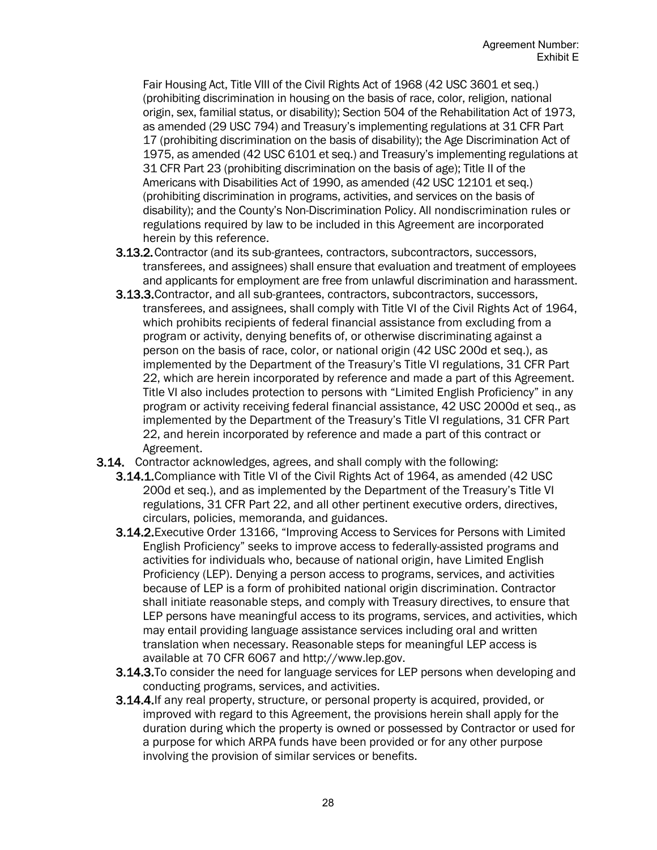Fair Housing Act, Title VIII of the Civil Rights Act of 1968 (42 USC 3601 et seq.) (prohibiting discrimination in housing on the basis of race, color, religion, national origin, sex, familial status, or disability); Section 504 of the Rehabilitation Act of 1973, as amended (29 USC 794) and Treasury's implementing regulations at 31 CFR Part 17 (prohibiting discrimination on the basis of disability); the Age Discrimination Act of 1975, as amended (42 USC 6101 et seq.) and Treasury's implementing regulations at 31 CFR Part 23 (prohibiting discrimination on the basis of age); Title II of the Americans with Disabilities Act of 1990, as amended (42 USC 12101 et seq.) (prohibiting discrimination in programs, activities, and services on the basis of disability); and the County's Non-Discrimination Policy. All nondiscrimination rules or regulations required by law to be included in this Agreement are incorporated herein by this reference.

- 3.13.2.Contractor (and its sub-grantees, contractors, subcontractors, successors, transferees, and assignees) shall ensure that evaluation and treatment of employees and applicants for employment are free from unlawful discrimination and harassment.
- 3.13.3.Contractor, and all sub-grantees, contractors, subcontractors, successors, transferees, and assignees, shall comply with Title VI of the Civil Rights Act of 1964, which prohibits recipients of federal financial assistance from excluding from a program or activity, denying benefits of, or otherwise discriminating against a person on the basis of race, color, or national origin (42 USC 200d et seq.), as implemented by the Department of the Treasury's Title VI regulations, 31 CFR Part 22, which are herein incorporated by reference and made a part of this Agreement. Title VI also includes protection to persons with "Limited English Proficiency" in any program or activity receiving federal financial assistance, 42 USC 2000d et seq., as implemented by the Department of the Treasury's Title VI regulations, 31 CFR Part 22, and herein incorporated by reference and made a part of this contract or Agreement.
- **3.14.** Contractor acknowledges, agrees, and shall comply with the following:
	- 3.14.1.Compliance with Title VI of the Civil Rights Act of 1964, as amended (42 USC 200d et seq.), and as implemented by the Department of the Treasury's Title VI regulations, 31 CFR Part 22, and all other pertinent executive orders, directives, circulars, policies, memoranda, and guidances.
	- 3.14.2.Executive Order 13166, "Improving Access to Services for Persons with Limited English Proficiency" seeks to improve access to federally-assisted programs and activities for individuals who, because of national origin, have Limited English Proficiency (LEP). Denying a person access to programs, services, and activities because of LEP is a form of prohibited national origin discrimination. Contractor shall initiate reasonable steps, and comply with Treasury directives, to ensure that LEP persons have meaningful access to its programs, services, and activities, which may entail providing language assistance services including oral and written translation when necessary. Reasonable steps for meaningful LEP access is available at 70 CFR 6067 and http://www.lep.gov.
	- 3.14.3. To consider the need for language services for LEP persons when developing and conducting programs, services, and activities.
	- **3.14.4.** If any real property, structure, or personal property is acquired, provided, or improved with regard to this Agreement, the provisions herein shall apply for the duration during which the property is owned or possessed by Contractor or used for a purpose for which ARPA funds have been provided or for any other purpose involving the provision of similar services or benefits.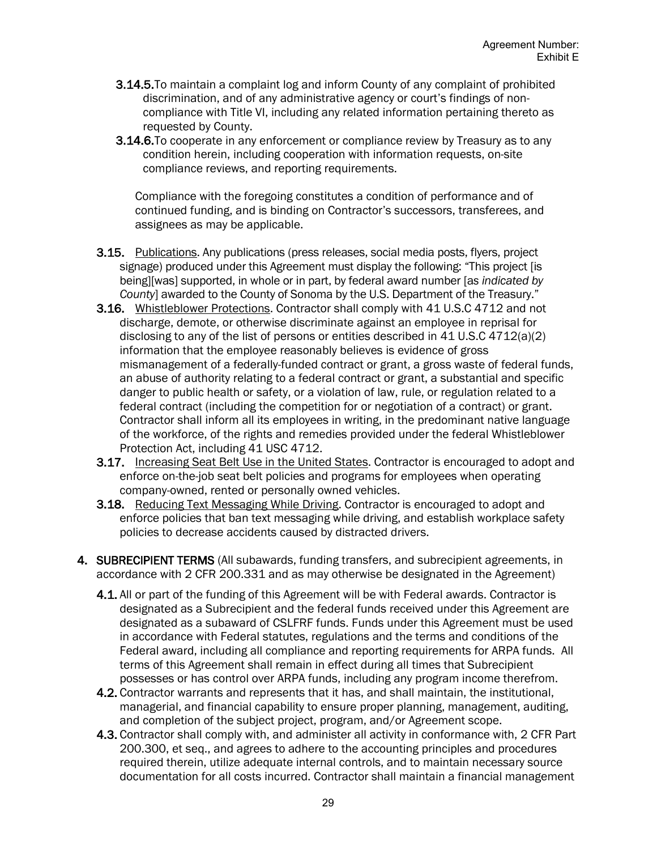- 3.14.5.To maintain a complaint log and inform County of any complaint of prohibited discrimination, and of any administrative agency or court's findings of noncompliance with Title VI, including any related information pertaining thereto as requested by County.
- **3.14.6.** To cooperate in any enforcement or compliance review by Treasury as to any condition herein, including cooperation with information requests, on-site compliance reviews, and reporting requirements.

Compliance with the foregoing constitutes a condition of performance and of continued funding, and is binding on Contractor's successors, transferees, and assignees as may be applicable.

- **3.15.** Publications. Any publications (press releases, social media posts, flyers, project signage) produced under this Agreement must display the following: "This project [is being][was] supported, in whole or in part, by federal award number [a*s indicated by County*] awarded to the County of Sonoma by the U.S. Department of the Treasury."
- 3.16. Whistleblower Protections. Contractor shall comply with 41 U.S.C 4712 and not discharge, demote, or otherwise discriminate against an employee in reprisal for disclosing to any of the list of persons or entities described in 41 U.S.C 4712(a)(2) information that the employee reasonably believes is evidence of gross mismanagement of a federally-funded contract or grant, a gross waste of federal funds, an abuse of authority relating to a federal contract or grant, a substantial and specific danger to public health or safety, or a violation of law, rule, or regulation related to a federal contract (including the competition for or negotiation of a contract) or grant. Contractor shall inform all its employees in writing, in the predominant native language of the workforce, of the rights and remedies provided under the federal Whistleblower Protection Act, including 41 USC 4712.
- **3.17.** Increasing Seat Belt Use in the United States. Contractor is encouraged to adopt and enforce on-the-job seat belt policies and programs for employees when operating company-owned, rented or personally owned vehicles.
- **3.18.** Reducing Text Messaging While Driving. Contractor is encouraged to adopt and enforce policies that ban text messaging while driving, and establish workplace safety policies to decrease accidents caused by distracted drivers.
- 4. SUBRECIPIENT TERMS (All subawards, funding transfers, and subrecipient agreements, in accordance with 2 CFR 200.331 and as may otherwise be designated in the Agreement)
	- 4.1. All or part of the funding of this Agreement will be with Federal awards. Contractor is designated as a Subrecipient and the federal funds received under this Agreement are designated as a subaward of CSLFRF funds. Funds under this Agreement must be used in accordance with Federal statutes, regulations and the terms and conditions of the Federal award, including all compliance and reporting requirements for ARPA funds. All terms of this Agreement shall remain in effect during all times that Subrecipient possesses or has control over ARPA funds, including any program income therefrom.
	- 4.2. Contractor warrants and represents that it has, and shall maintain, the institutional, managerial, and financial capability to ensure proper planning, management, auditing, and completion of the subject project, program, and/or Agreement scope.
	- 4.3. Contractor shall comply with, and administer all activity in conformance with, 2 CFR Part 200.300, et seq., and agrees to adhere to the accounting principles and procedures required therein, utilize adequate internal controls, and to maintain necessary source documentation for all costs incurred. Contractor shall maintain a financial management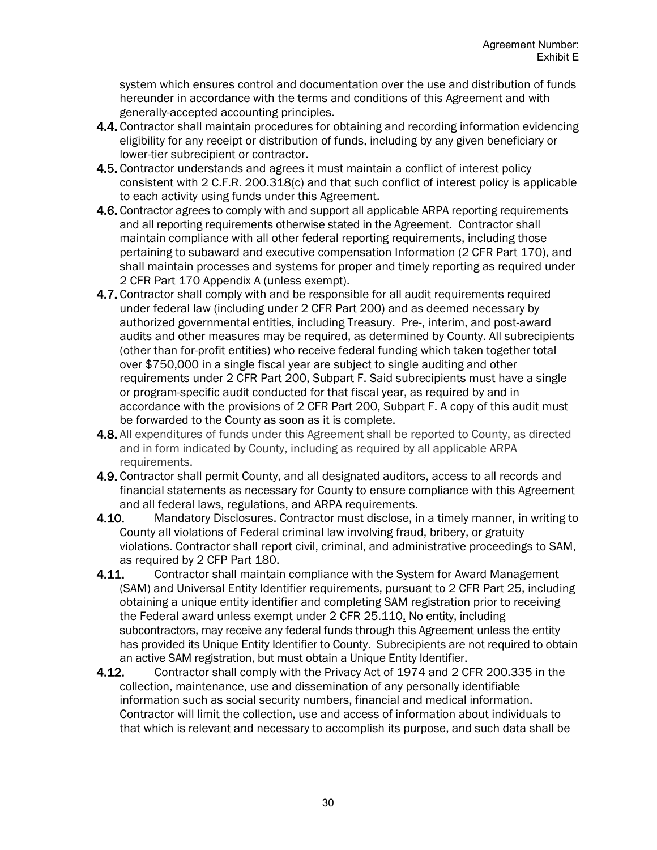system which ensures control and documentation over the use and distribution of funds hereunder in accordance with the terms and conditions of this Agreement and with generally-accepted accounting principles.

- 4.4. Contractor shall maintain procedures for obtaining and recording information evidencing eligibility for any receipt or distribution of funds, including by any given beneficiary or lower-tier subrecipient or contractor.
- 4.5. Contractor understands and agrees it must maintain a conflict of interest policy consistent with 2 C.F.R. 200.318(c) and that such conflict of interest policy is applicable to each activity using funds under this Agreement.
- 4.6. Contractor agrees to comply with and support all applicable ARPA reporting requirements and all reporting requirements otherwise stated in the Agreement. Contractor shall maintain compliance with all other federal reporting requirements, including those pertaining to subaward and executive compensation Information (2 CFR Part 170), and shall maintain processes and systems for proper and timely reporting as required under 2 CFR Part 170 Appendix A (unless exempt).
- 4.7. Contractor shall comply with and be responsible for all audit requirements required under federal law (including under 2 CFR Part 200) and as deemed necessary by authorized governmental entities, including Treasury. Pre-, interim, and post-award audits and other measures may be required, as determined by County. All subrecipients (other than for-profit entities) who receive federal funding which taken together total over \$750,000 in a single fiscal year are subject to single auditing and other requirements under 2 CFR Part 200, Subpart F. Said subrecipients must have a single or program-specific audit conducted for that fiscal year, as required by and in accordance with the provisions of 2 CFR Part 200, Subpart F. A copy of this audit must be forwarded to the County as soon as it is complete.
- **4.8.** All expenditures of funds under this Agreement shall be reported to County, as directed and in form indicated by County, including as required by all applicable ARPA requirements.
- 4.9. Contractor shall permit County, and all designated auditors, access to all records and financial statements as necessary for County to ensure compliance with this Agreement and all federal laws, regulations, and ARPA requirements.
- 4.10. Mandatory Disclosures. Contractor must disclose, in a timely manner, in writing to County all violations of Federal criminal law involving fraud, bribery, or gratuity violations. Contractor shall report civil, criminal, and administrative proceedings to SAM, as required by 2 CFP Part 180.<br>4.11. Contractor shall maintair
- 4.11. Contractor shall maintain compliance with the System for Award Management (SAM) and Universal Entity Identifier requirements, pursuant to 2 CFR Part 25, including obtaining a unique entity identifier and completing SAM registration prior to receiving the Federal award unless exempt under 2 CFR 25.110. No entity, including subcontractors, may receive any federal funds through this Agreement unless the entity has provided its Unique Entity Identifier to County. Subrecipients are not required to obtain an active SAM registration, but must obtain a Unique Entity Identifier.
- 4.12. Contractor shall comply with the Privacy Act of 1974 and 2 CFR 200.335 in the collection, maintenance, use and dissemination of any personally identifiable information such as social security numbers, financial and medical information. Contractor will limit the collection, use and access of information about individuals to that which is relevant and necessary to accomplish its purpose, and such data shall be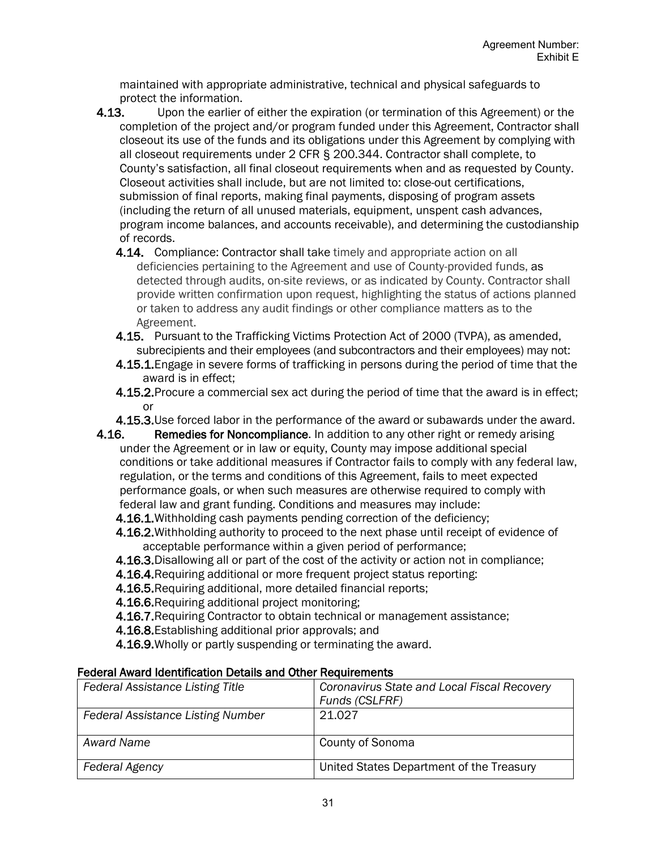maintained with appropriate administrative, technical and physical safeguards to

- protect the information.<br>4.13. Upon the earlier Upon the earlier of either the expiration (or termination of this Agreement) or the completion of the project and/or program funded under this Agreement, Contractor shall closeout its use of the funds and its obligations under this Agreement by complying with all closeout requirements under 2 CFR § 200.344. Contractor shall complete, to County's satisfaction, all final closeout requirements when and as requested by County. Closeout activities shall include, but are not limited to: close-out certifications, submission of final reports, making final payments, disposing of program assets (including the return of all unused materials, equipment, unspent cash advances, program income balances, and accounts receivable), and determining the custodianship of records.
	- 4.14. Compliance: Contractor shall take timely and appropriate action on all deficiencies pertaining to the Agreement and use of County-provided funds, as detected through audits, on-site reviews, or as indicated by County. Contractor shall provide written confirmation upon request, highlighting the status of actions planned or taken to address any audit findings or other compliance matters as to the Agreement.
	- 4.15. Pursuant to the Trafficking Victims Protection Act of 2000 (TVPA), as amended, subrecipients and their employees (and subcontractors and their employees) may not:
	- 4.15.1.Engage in severe forms of trafficking in persons during the period of time that the award is in effect;
	- 4.15.2. Procure a commercial sex act during the period of time that the award is in effect; or
	- 4.15.3.Use forced labor in the performance of the award or subawards under the award.
- 4.16. Remedies for Noncompliance. In addition to any other right or remedy arising under the Agreement or in law or equity, County may impose additional special conditions or take additional measures if Contractor fails to comply with any federal law, regulation, or the terms and conditions of this Agreement, fails to meet expected performance goals, or when such measures are otherwise required to comply with federal law and grant funding. Conditions and measures may include:
	- 4.16.1. Withholding cash payments pending correction of the deficiency;
	- 4.16.2. Withholding authority to proceed to the next phase until receipt of evidence of acceptable performance within a given period of performance;
	- 4.16.3.Disallowing all or part of the cost of the activity or action not in compliance;
	- 4.16.4. Requiring additional or more frequent project status reporting:
	- 4.16.5.Requiring additional, more detailed financial reports;
	- 4.16.6. Requiring additional project monitoring;
	- 4.16.7. Requiring Contractor to obtain technical or management assistance;
	- 4.16.8. Establishing additional prior approvals; and
	- 4.16.9. Wholly or partly suspending or terminating the award.

#### Federal Award Identification Details and Other Requirements

| <b>Federal Assistance Listing Title</b>  | Coronavirus State and Local Fiscal Recovery |  |
|------------------------------------------|---------------------------------------------|--|
|                                          | Funds (CSLFRF)                              |  |
| <b>Federal Assistance Listing Number</b> | 21.027                                      |  |
|                                          |                                             |  |
| Award Name                               | County of Sonoma                            |  |
|                                          |                                             |  |
| Federal Agency                           | United States Department of the Treasury    |  |
|                                          |                                             |  |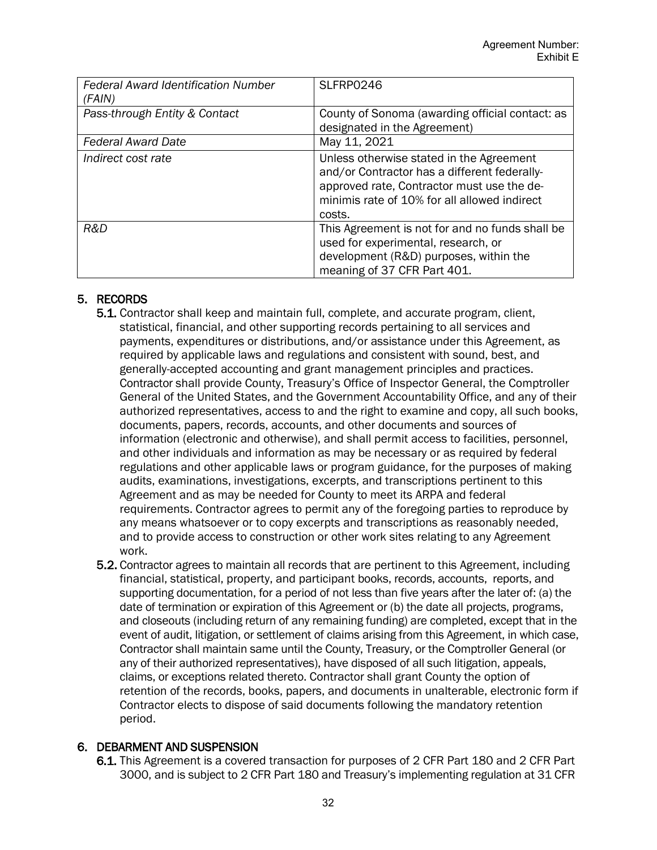| <b>Federal Award Identification Number</b><br>(FAIN) | SLFRP0246                                                                                                                                                                                        |
|------------------------------------------------------|--------------------------------------------------------------------------------------------------------------------------------------------------------------------------------------------------|
| Pass-through Entity & Contact                        | County of Sonoma (awarding official contact: as<br>designated in the Agreement)                                                                                                                  |
| <b>Federal Award Date</b>                            | May 11, 2021                                                                                                                                                                                     |
| Indirect cost rate                                   | Unless otherwise stated in the Agreement<br>and/or Contractor has a different federally-<br>approved rate, Contractor must use the de-<br>minimis rate of 10% for all allowed indirect<br>costs. |
| R&D                                                  | This Agreement is not for and no funds shall be<br>used for experimental, research, or<br>development (R&D) purposes, within the<br>meaning of 37 CFR Part 401.                                  |

### 5. RECORDS

- 5.1. Contractor shall keep and maintain full, complete, and accurate program, client, statistical, financial, and other supporting records pertaining to all services and payments, expenditures or distributions, and/or assistance under this Agreement, as required by applicable laws and regulations and consistent with sound, best, and generally-accepted accounting and grant management principles and practices. Contractor shall provide County, Treasury's Office of Inspector General, the Comptroller General of the United States, and the Government Accountability Office, and any of their authorized representatives, access to and the right to examine and copy, all such books, documents, papers, records, accounts, and other documents and sources of information (electronic and otherwise), and shall permit access to facilities, personnel, and other individuals and information as may be necessary or as required by federal regulations and other applicable laws or program guidance, for the purposes of making audits, examinations, investigations, excerpts, and transcriptions pertinent to this Agreement and as may be needed for County to meet its ARPA and federal requirements. Contractor agrees to permit any of the foregoing parties to reproduce by any means whatsoever or to copy excerpts and transcriptions as reasonably needed, and to provide access to construction or other work sites relating to any Agreement work.
- 5.2. Contractor agrees to maintain all records that are pertinent to this Agreement, including financial, statistical, property, and participant books, records, accounts, reports, and supporting documentation, for a period of not less than five years after the later of: (a) the date of termination or expiration of this Agreement or (b) the date all projects, programs, and closeouts (including return of any remaining funding) are completed, except that in the event of audit, litigation, or settlement of claims arising from this Agreement, in which case, Contractor shall maintain same until the County, Treasury, or the Comptroller General (or any of their authorized representatives), have disposed of all such litigation, appeals, claims, or exceptions related thereto. Contractor shall grant County the option of retention of the records, books, papers, and documents in unalterable, electronic form if Contractor elects to dispose of said documents following the mandatory retention period.

#### 6. DEBARMENT AND SUSPENSION

6.1. This Agreement is a covered transaction for purposes of 2 CFR Part 180 and 2 CFR Part 3000, and is subject to 2 CFR Part 180 and Treasury's implementing regulation at 31 CFR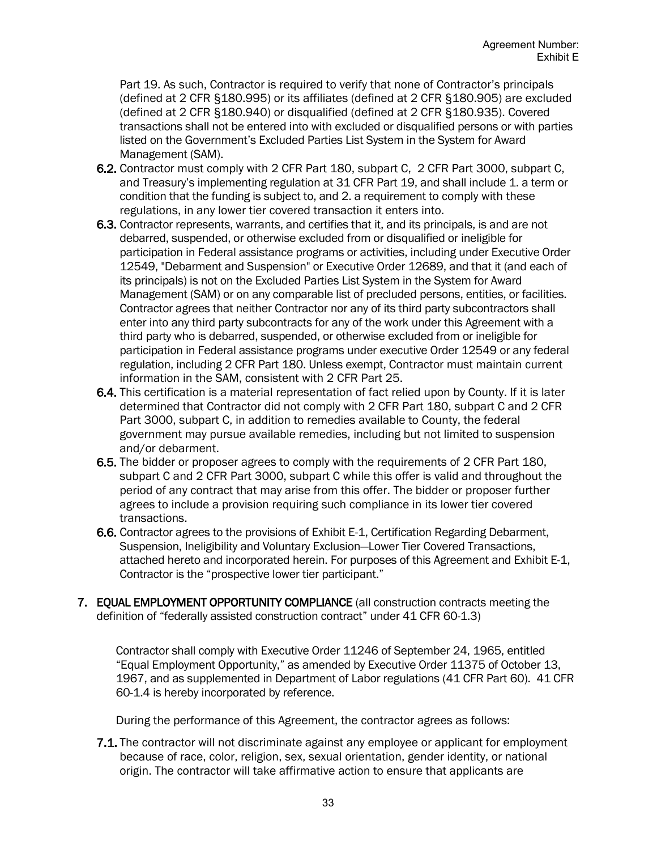Part 19. As such, Contractor is required to verify that none of Contractor's principals (defined at 2 CFR §180.995) or its affiliates (defined at 2 CFR §180.905) are excluded (defined at 2 CFR §180.940) or disqualified (defined at 2 CFR §180.935). Covered transactions shall not be entered into with excluded or disqualified persons or with parties listed on the Government's Excluded Parties List System in the System for Award Management (SAM).

- 6.2. Contractor must comply with 2 CFR Part 180, subpart C, 2 CFR Part 3000, subpart C, and Treasury's implementing regulation at 31 CFR Part 19, and shall include 1. a term or condition that the funding is subject to, and 2. a requirement to comply with these regulations, in any lower tier covered transaction it enters into.
- 6.3. Contractor represents, warrants, and certifies that it, and its principals, is and are not debarred, suspended, or otherwise excluded from or disqualified or ineligible for participation in Federal assistance programs or activities, including under Executive Order 12549, "Debarment and Suspension" or Executive Order 12689, and that it (and each of its principals) is not on the Excluded Parties List System in the System for Award Management (SAM) or on any comparable list of precluded persons, entities, or facilities. Contractor agrees that neither Contractor nor any of its third party subcontractors shall enter into any third party subcontracts for any of the work under this Agreement with a third party who is debarred, suspended, or otherwise excluded from or ineligible for participation in Federal assistance programs under executive Order 12549 or any federal regulation, including 2 CFR Part 180. Unless exempt, Contractor must maintain current information in the SAM, consistent with 2 CFR Part 25.
- 6.4. This certification is a material representation of fact relied upon by County. If it is later determined that Contractor did not comply with 2 CFR Part 180, subpart C and 2 CFR Part 3000, subpart C, in addition to remedies available to County, the federal government may pursue available remedies, including but not limited to suspension and/or debarment.
- 6.5. The bidder or proposer agrees to comply with the requirements of 2 CFR Part 180, subpart C and 2 CFR Part 3000, subpart C while this offer is valid and throughout the period of any contract that may arise from this offer. The bidder or proposer further agrees to include a provision requiring such compliance in its lower tier covered transactions.
- 6.6. Contractor agrees to the provisions of Exhibit E-1, Certification Regarding Debarment, Suspension, Ineligibility and Voluntary Exclusion—Lower Tier Covered Transactions, attached hereto and incorporated herein. For purposes of this Agreement and Exhibit E-1, Contractor is the "prospective lower tier participant."
- 7. EQUAL EMPLOYMENT OPPORTUNITY COMPLIANCE (all construction contracts meeting the definition of "federally assisted construction contract" under 41 CFR 60-1.3)

Contractor shall comply with Executive Order 11246 of September 24, 1965, entitled "Equal Employment Opportunity," as amended by Executive Order 11375 of October 13, 1967, and as supplemented in Department of Labor regulations (41 CFR Part 60). 41 CFR 60-1.4 is hereby incorporated by reference.

During the performance of this [Agreement,](https://www.law.cornell.edu/definitions/index.php?width=840&height=800&iframe=true&def_id=22edf9acbb0b836eba994727b86adedf&term_occur=9&term_src=Title:41:Subtitle:B:Chapter:60:Part:60-1:Subpart:A:60-1.4) the contractor agrees as follows:

7.1. The contractor will not discriminate against any employee or applicant for employment because of race, color, religion, sex, sexual orientation, gender identity, or national origin. The contractor will take affirmative action to ensure that applicants are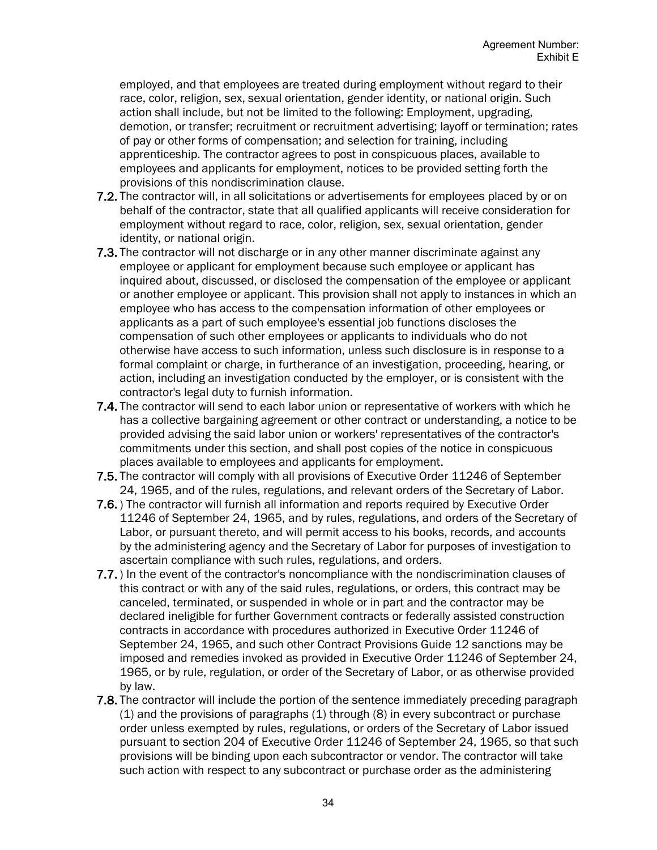employed, and that employees are treated during employment without regard to their race, color, religion, sex, sexual orientation, gender identity, or national origin. Such action shall include, but not be limited to the following: Employment, upgrading, demotion, or transfer; recruitment or recruitment advertising; layoff or termination; rates of pay or other forms of compensation; and selection for training, including apprenticeship. The contractor agrees to post in conspicuous places, available to employees and applicants for employment, notices to be provided setting forth the provisions of this nondiscrimination clause.

- 7.2. The contractor will, in all solicitations or advertisements for employees placed by or on behalf of the contractor, state that all qualified applicants will receive consideration for employment without regard to race, color, religion, sex, sexual orientation, gender identity, or national origin.
- **7.3.** The contractor will not discharge or in any other manner discriminate against any employee or applicant for employment because such employee or applicant has inquired about, discussed, or disclosed the compensation of the employee or applicant or another employee or applicant. This provision shall not apply to instances in which an employee who has access to the compensation information of other employees or applicants as a part of such employee's essential job functions discloses the compensation of such other employees or applicants to individuals who do not otherwise have access to such information, unless such disclosure is in response to a formal complaint or charge, in furtherance of an investigation, proceeding, hearing, or action, including an investigation conducted by the employer, or is consistent with the contractor's legal duty to furnish information.
- 7.4. The contractor will send to each labor union or representative of workers with which he has a collective bargaining agreement or other contract or understanding, a notice to be provided advising the said labor union or workers' representatives of the contractor's commitments under this section, and shall post copies of the notice in conspicuous places available to employees and applicants for employment.
- 7.5. The contractor will comply with all provisions of Executive Order 11246 of September 24, 1965, and of the rules, regulations, and relevant orders of the Secretary of Labor.
- 7.6. ) The contractor will furnish all information and reports required by Executive Order 11246 of September 24, 1965, and by rules, regulations, and orders of the Secretary of Labor, or pursuant thereto, and will permit access to his books, records, and accounts by the administering agency and the Secretary of Labor for purposes of investigation to ascertain compliance with such rules, regulations, and orders.
- 7.7. ) In the event of the contractor's noncompliance with the nondiscrimination clauses of this contract or with any of the said rules, regulations, or orders, this contract may be canceled, terminated, or suspended in whole or in part and the contractor may be declared ineligible for further Government contracts or federally assisted construction contracts in accordance with procedures authorized in Executive Order 11246 of September 24, 1965, and such other Contract Provisions Guide 12 sanctions may be imposed and remedies invoked as provided in Executive Order 11246 of September 24, 1965, or by rule, regulation, or order of the Secretary of Labor, or as otherwise provided by law.
- **7.8.** The contractor will include the portion of the sentence immediately preceding paragraph (1) and the provisions of paragraphs (1) through (8) in every subcontract or purchase order unless exempted by rules, regulations, or orders of the Secretary of Labor issued pursuant to section 204 of Executive Order 11246 of September 24, 1965, so that such provisions will be binding upon each subcontractor or vendor. The contractor will take such action with respect to any subcontract or purchase order as the administering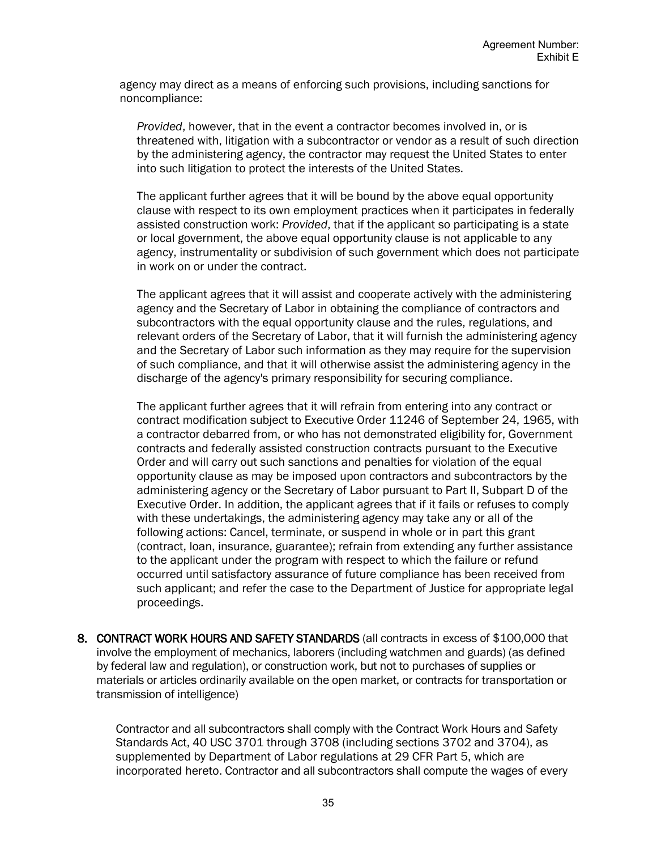agency may direct as a means of enforcing such provisions, including sanctions for noncompliance:

*Provided*, however, that in the event a contractor becomes involved in, or is threatened with, litigation with a subcontractor or vendor as a result of such direction by the administering agency, the contractor may request the United States to enter into such litigation to protect the interests of the United States.

The applicant further agrees that it will be bound by the above equal opportunity clause with respect to its own employment practices when it participates in federally assisted construction work: *Provided*, that if the applicant so participating is a state or local government, the above equal opportunity clause is not applicable to any agency, instrumentality or subdivision of such government which does not participate in work on or under the contract.

The applicant agrees that it will assist and cooperate actively with the administering agency and the Secretary of Labor in obtaining the compliance of contractors and subcontractors with the equal opportunity clause and the rules, regulations, and relevant orders of the Secretary of Labor, that it will furnish the administering agency and the Secretary of Labor such information as they may require for the supervision of such compliance, and that it will otherwise assist the administering agency in the discharge of the agency's primary responsibility for securing compliance.

The applicant further agrees that it will refrain from entering into any contract or contract modification subject to Executive Order 11246 of September 24, 1965, with a contractor debarred from, or who has not demonstrated eligibility for, Government contracts and federally assisted construction contracts pursuant to the Executive Order and will carry out such sanctions and penalties for violation of the equal opportunity clause as may be imposed upon contractors and subcontractors by the administering agency or the Secretary of Labor pursuant to Part II, Subpart D of the Executive Order. In addition, the applicant agrees that if it fails or refuses to comply with these undertakings, the administering agency may take any or all of the following actions: Cancel, terminate, or suspend in whole or in part this grant (contract, loan, insurance, guarantee); refrain from extending any further assistance to the applicant under the program with respect to which the failure or refund occurred until satisfactory assurance of future compliance has been received from such applicant; and refer the case to the Department of Justice for appropriate legal proceedings.

8. CONTRACT WORK HOURS AND SAFETY STANDARDS (all contracts in excess of \$100,000 that involve the employment of mechanics, laborers (including watchmen and guards) (as defined by federal law and regulation), or construction work, but not to purchases of supplies or materials or articles ordinarily available on the open market, or contracts for transportation or transmission of intelligence)

Contractor and all subcontractors shall comply with the Contract Work Hours and Safety Standards Act, 40 USC 3701 through 3708 (including sections 3702 and 3704), as supplemented by Department of Labor regulations at 29 CFR Part 5, which are incorporated hereto. Contractor and all subcontractors shall compute the wages of every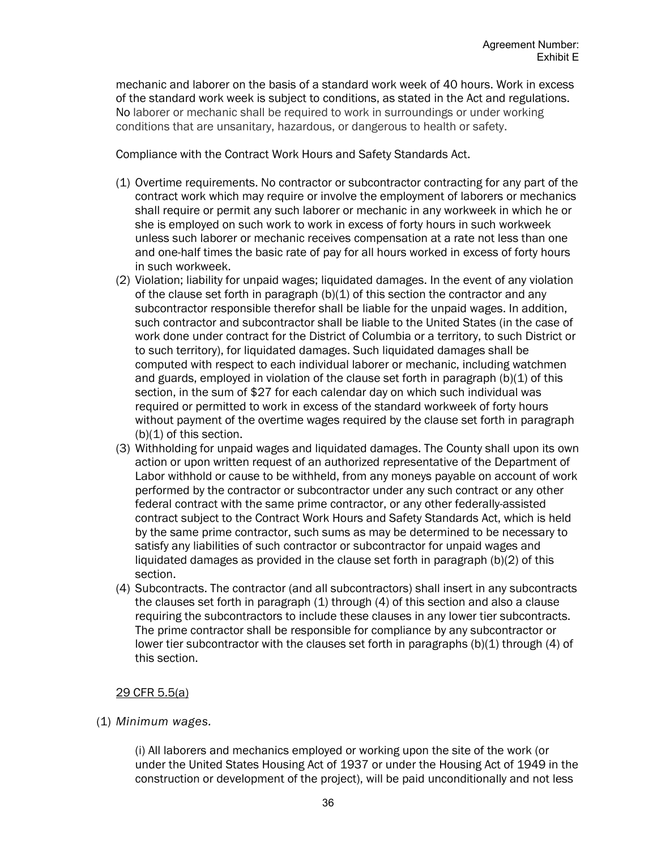mechanic and laborer on the basis of a standard work week of 40 hours. Work in excess of the standard work week is subject to conditions, as stated in the Act and regulations. No laborer or mechanic shall be required to work in surroundings or under working conditions that are unsanitary, hazardous, or dangerous to health or safety.

Compliance with the Contract Work Hours and Safety Standards Act.

- (1) Overtime requirements. No contractor or subcontractor contracting for any part of the contract work which may require or involve the employment of laborers or mechanics shall require or permit any such laborer or mechanic in any workweek in which he or she is employed on such work to work in excess of forty hours in such workweek unless such laborer or mechanic receives compensation at a rate not less than one and one-half times the basic rate of pay for all hours worked in excess of forty hours in such workweek.
- (2) Violation; liability for unpaid wages; liquidated damages. In the event of any violation of the clause set forth in paragraph  $(b)(1)$  of this section the contractor and any subcontractor responsible therefor shall be liable for the unpaid wages. In addition, such contractor and subcontractor shall be liable to the United States (in the case of work done under contract for the District of Columbia or a territory, to such District or to such territory), for liquidated damages. Such liquidated damages shall be computed with respect to each individual laborer or mechanic, including watchmen and guards, employed in violation of the clause set forth in paragraph (b)(1) of this section, in the sum of \$27 for each calendar day on which such individual was required or permitted to work in excess of the standard workweek of forty hours without payment of the overtime wages required by the clause set forth in paragraph  $(b)(1)$  of this section.
- (3) Withholding for unpaid wages and liquidated damages. The County shall upon its own action or upon written request of an authorized representative of the Department of Labor withhold or cause to be withheld, from any moneys payable on account of work performed by the contractor or subcontractor under any such contract or any other federal contract with the same prime contractor, or any other federally-assisted contract subject to the Contract Work Hours and Safety Standards Act, which is held by the same prime contractor, such sums as may be determined to be necessary to satisfy any liabilities of such contractor or subcontractor for unpaid wages and liquidated damages as provided in the clause set forth in paragraph (b)(2) of this section.
- (4) Subcontracts. The contractor (and all subcontractors) shall insert in any subcontracts the clauses set forth in paragraph  $(1)$  through  $(4)$  of this section and also a clause requiring the subcontractors to include these clauses in any lower tier subcontracts. The prime contractor shall be responsible for compliance by any subcontractor or lower tier subcontractor with the clauses set forth in paragraphs  $(b)(1)$  through  $(4)$  of this section.

#### 29 CFR 5.5(a)

(1) *Minimum wages.*

(i) All laborers and mechanics employed or working upon the site of the work (or under the United States Housing Act of 1937 or under the Housing Act of 1949 in the construction or development of the project), will be paid unconditionally and not less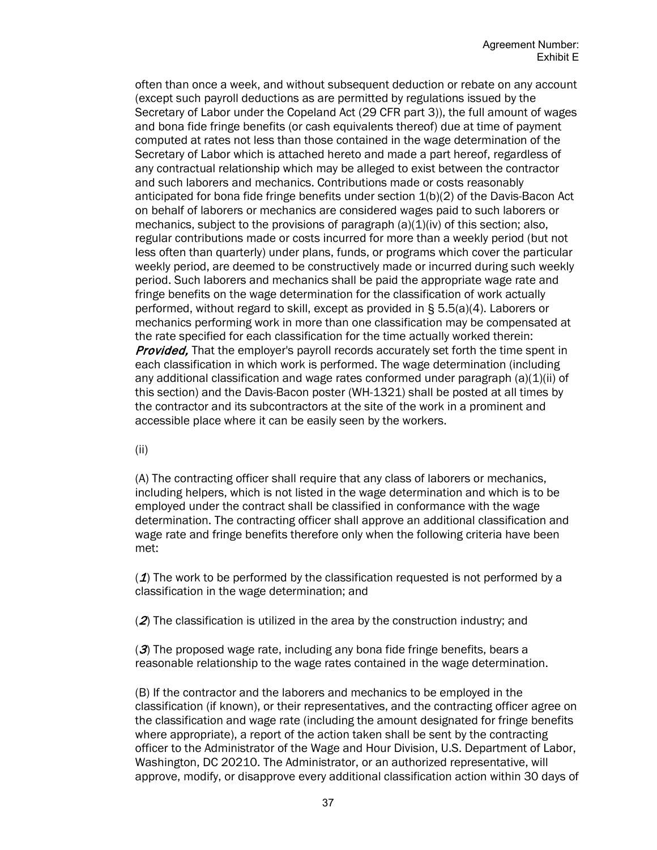often than once a week, and without subsequent deduction or rebate on any account (except such payroll deductions as are permitted by regulations issued by the Secretary of Labor under the Copeland Act (29 CFR part 3)), the full amount of wages and bona fide fringe benefits (or cash equivalents thereof) due at time of payment computed at rates not less than those contained in the wage determination of the Secretary of Labor which is attached hereto and made a part hereof, regardless of any contractual relationship which may be alleged to exist between the contractor and such laborers and mechanics. Contributions made or costs reasonably anticipated for bona fide fringe benefits under section  $1(b)(2)$  of the Davis-Bacon Act on behalf of laborers or mechanics are considered wages paid to such laborers or mechanics, subject to the provisions of paragraph  $(a)(1)(iv)$  of this section; also, regular contributions made or costs incurred for more than a weekly period (but not less often than quarterly) under plans, funds, or programs which cover the particular weekly period, are deemed to be constructively made or incurred during such weekly period. Such laborers and mechanics shall be paid the appropriate wage rate and fringe benefits on the wage determination for the classification of work actually performed, without regard to skill, except as provided in § 5.5(a)(4). Laborers or mechanics performing work in more than one classification may be compensated at the rate specified for each classification for the time actually worked therein: **Provided.** That the employer's payroll records accurately set forth the time spent in each classification in which work is performed. The wage determination (including any additional classification and wage rates conformed under paragraph  $(a)(1)(ii)$  of this section) and the Davis-Bacon poster (WH-1321) shall be posted at all times by the contractor and its subcontractors at the site of the work in a prominent and accessible place where it can be easily seen by the workers.

(ii)

(A) The contracting officer shall require that any class of laborers or mechanics, including helpers, which is not listed in the wage determination and which is to be employed under the contract shall be classified in conformance with the wage determination. The contracting officer shall approve an additional classification and wage rate and fringe benefits therefore only when the following criteria have been met:

 $(1)$  The work to be performed by the classification requested is not performed by a classification in the wage determination; and

 $(2)$  The classification is utilized in the area by the construction industry; and

 $(3)$  The proposed wage rate, including any bona fide fringe benefits, bears a reasonable relationship to the wage rates contained in the wage determination.

(B) If the contractor and the laborers and mechanics to be employed in the classification (if known), or their representatives, and the contracting officer agree on the classification and wage rate (including the amount designated for fringe benefits where appropriate), a report of the action taken shall be sent by the contracting officer to the Administrator of the Wage and Hour Division, U.S. Department of Labor, Washington, DC 20210. The Administrator, or an authorized representative, will approve, modify, or disapprove every additional classification action within 30 days of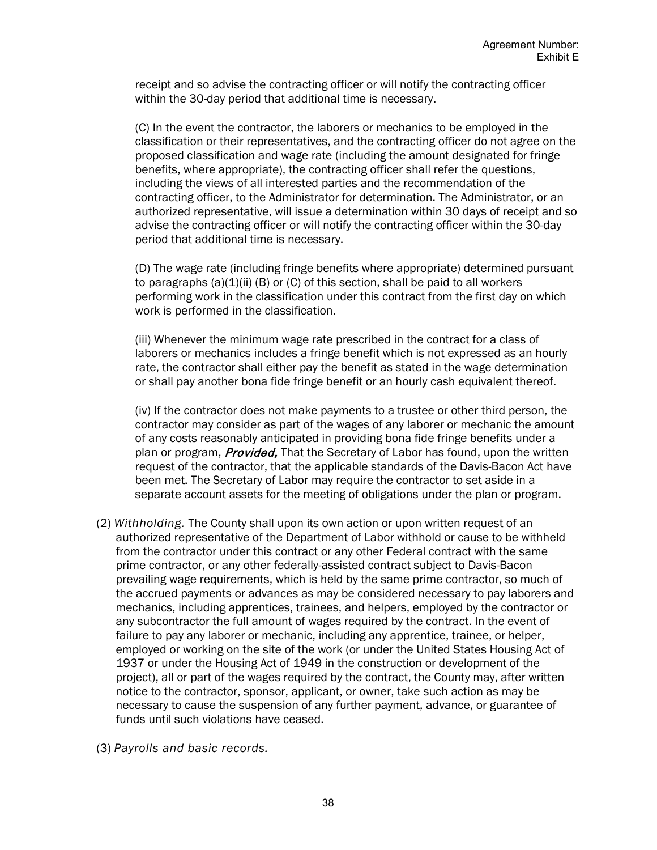receipt and so advise the contracting officer or will notify the contracting officer within the 30-day period that additional time is necessary.

(C) In the event the contractor, the laborers or mechanics to be employed in the classification or their representatives, and the contracting officer do not agree on the proposed classification and wage rate (including the amount designated for fringe benefits, where appropriate), the contracting officer shall refer the questions, including the views of all interested parties and the recommendation of the contracting officer, to the Administrator for determination. The Administrator, or an authorized representative, will issue a determination within 30 days of receipt and so advise the contracting officer or will notify the contracting officer within the 30-day period that additional time is necessary.

(D) The wage rate (including fringe benefits where appropriate) determined pursuant to paragraphs (a)(1)(ii) (B) or (C) of this section, shall be paid to all workers performing work in the classification under this contract from the first day on which work is performed in the classification.

(iii) Whenever the minimum wage rate prescribed in the contract for a class of laborers or mechanics includes a fringe benefit which is not expressed as an hourly rate, the contractor shall either pay the benefit as stated in the wage determination or shall pay another bona fide fringe benefit or an hourly cash equivalent thereof.

(iv) If the contractor does not make payments to a trustee or other third person, the contractor may consider as part of the wages of any laborer or mechanic the amount of any costs reasonably anticipated in providing bona fide fringe benefits under a plan or program, **Provided**, That the Secretary of Labor has found, upon the written request of the contractor, that the applicable standards of the Davis-Bacon Act have been met. The Secretary of Labor may require the contractor to set aside in a separate account assets for the meeting of obligations under the plan or program.

- (2) *Withholding.* The County shall upon its own action or upon written request of an authorized representative of the Department of Labor withhold or cause to be withheld from the contractor under this contract or any other Federal contract with the same prime contractor, or any other federally-assisted contract subject to Davis-Bacon prevailing wage requirements, which is held by the same prime contractor, so much of the accrued payments or advances as may be considered necessary to pay laborers and mechanics, including apprentices, trainees, and helpers, employed by the contractor or any subcontractor the full amount of wages required by the contract. In the event of failure to pay any laborer or mechanic, including any apprentice, trainee, or helper, employed or working on the site of the work (or under the United States Housing Act of 1937 or under the Housing Act of 1949 in the construction or development of the project), all or part of the wages required by the contract, the County may, after written notice to the contractor, sponsor, applicant, or owner, take such action as may be necessary to cause the suspension of any further payment, advance, or guarantee of funds until such violations have ceased.
- (3) *Payrolls and basic records.*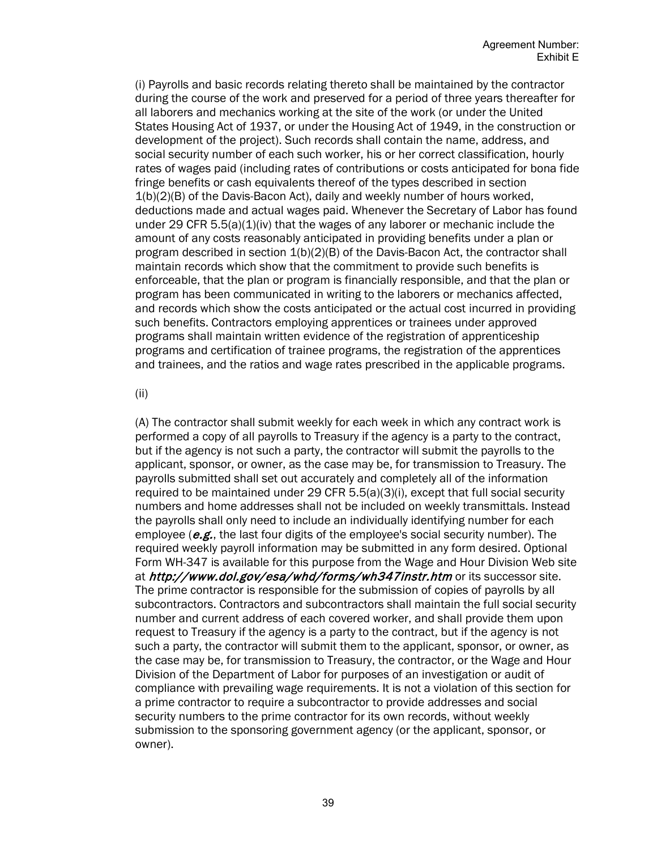(i) Payrolls and basic records relating thereto shall be maintained by the contractor during the course of the work and preserved for a period of three years thereafter for all laborers and mechanics working at the site of the work (or under the United States Housing Act of 1937, or under the Housing Act of 1949, in the construction or development of the project). Such records shall contain the name, address, and social security number of each such worker, his or her correct classification, hourly rates of wages paid (including rates of contributions or costs anticipated for bona fide fringe benefits or cash equivalents thereof of the types described in section 1(b)(2)(B) of the Davis-Bacon Act), daily and weekly number of hours worked, deductions made and actual wages paid. Whenever the Secretary of Labor has found under 29 CFR 5.5(a)(1)(iv) that the wages of any laborer or mechanic include the amount of any costs reasonably anticipated in providing benefits under a plan or program described in section  $1(b)(2)(B)$  of the Davis-Bacon Act, the contractor shall maintain records which show that the commitment to provide such benefits is enforceable, that the plan or program is financially responsible, and that the plan or program has been communicated in writing to the laborers or mechanics affected, and records which show the costs anticipated or the actual cost incurred in providing such benefits. Contractors employing apprentices or trainees under approved programs shall maintain written evidence of the registration of apprenticeship programs and certification of trainee programs, the registration of the apprentices and trainees, and the ratios and wage rates prescribed in the applicable programs.

#### (ii)

(A) The contractor shall submit weekly for each week in which any contract work is performed a copy of all payrolls to Treasury if the agency is a party to the contract, but if the agency is not such a party, the contractor will submit the payrolls to the applicant, sponsor, or owner, as the case may be, for transmission to Treasury. The payrolls submitted shall set out accurately and completely all of the information required to be maintained under 29 CFR 5.5(a)(3)(i), except that full social security numbers and home addresses shall not be included on weekly transmittals. Instead the payrolls shall only need to include an individually identifying number for each employee ( $e.g.,$  the last four digits of the employee's social security number). The required weekly payroll information may be submitted in any form desired. Optional Form WH-347 is available for this purpose from the Wage and Hour Division Web site at http://www.dol.gov/esa/whd/forms/wh347instr.htm or its successor site. The prime contractor is responsible for the submission of copies of payrolls by all subcontractors. Contractors and subcontractors shall maintain the full social security number and current address of each covered worker, and shall provide them upon request to Treasury if the agency is a party to the contract, but if the agency is not such a party, the contractor will submit them to the applicant, sponsor, or owner, as the case may be, for transmission to Treasury, the contractor, or the Wage and Hour Division of the Department of Labor for purposes of an investigation or audit of compliance with prevailing wage requirements. It is not a violation of this section for a prime contractor to require a subcontractor to provide addresses and social security numbers to the prime contractor for its own records, without weekly submission to the sponsoring government agency (or the applicant, sponsor, or owner).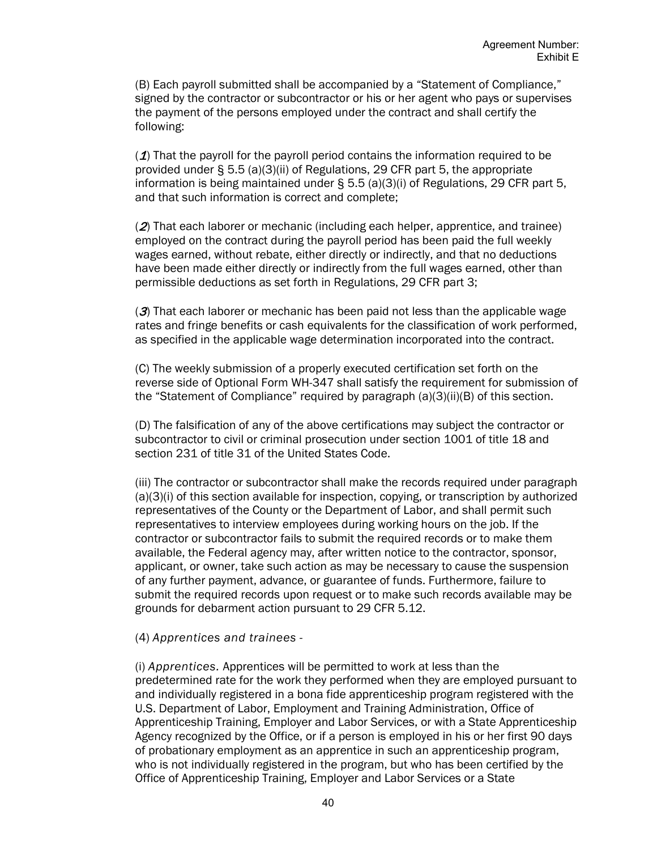(B) Each payroll submitted shall be accompanied by a "Statement of Compliance," signed by the contractor or subcontractor or his or her agent who pays or supervises the payment of the persons employed under the contract and shall certify the following:

 $(1)$  That the payroll for the payroll period contains the information required to be provided under § 5.5 (a)(3)(ii) of Regulations, 29 CFR part 5, the appropriate information is being maintained under  $\S$  5.5 (a)(3)(i) of Regulations, 29 CFR part 5, and that such information is correct and complete;

 $(2)$  That each laborer or mechanic (including each helper, apprentice, and trainee) employed on the contract during the payroll period has been paid the full weekly wages earned, without rebate, either directly or indirectly, and that no deductions have been made either directly or indirectly from the full wages earned, other than permissible deductions as set forth in Regulations, 29 CFR part 3;

 $(3)$  That each laborer or mechanic has been paid not less than the applicable wage rates and fringe benefits or cash equivalents for the classification of work performed, as specified in the applicable wage determination incorporated into the contract.

(C) The weekly submission of a properly executed certification set forth on the reverse side of Optional Form WH-347 shall satisfy the requirement for submission of the "Statement of Compliance" required by paragraph  $(a)(3)(ii)(B)$  of this section.

(D) The falsification of any of the above certifications may subject the contractor or subcontractor to civil or criminal prosecution under section 1001 of title 18 and section 231 of title 31 of the United States Code.

(iii) The contractor or subcontractor shall make the records required under paragraph (a)(3)(i) of this section available for inspection, copying, or transcription by authorized representatives of the County or the Department of Labor, and shall permit such representatives to interview employees during working hours on the job. If the contractor or subcontractor fails to submit the required records or to make them available, the Federal agency may, after written notice to the contractor, sponsor, applicant, or owner, take such action as may be necessary to cause the suspension of any further payment, advance, or guarantee of funds. Furthermore, failure to submit the required records upon request or to make such records available may be grounds for debarment action pursuant to 29 CFR 5.12.

#### (4) *Apprentices and trainees* -

(i) *Apprentices.* Apprentices will be permitted to work at less than the predetermined rate for the work they performed when they are employed pursuant to and individually registered in a bona fide apprenticeship program registered with the U.S. Department of Labor, Employment and Training Administration, Office of Apprenticeship Training, Employer and Labor Services, or with a State Apprenticeship Agency recognized by the Office, or if a person is employed in his or her first 90 days of probationary employment as an apprentice in such an apprenticeship program, who is not individually registered in the program, but who has been certified by the Office of Apprenticeship Training, Employer and Labor Services or a State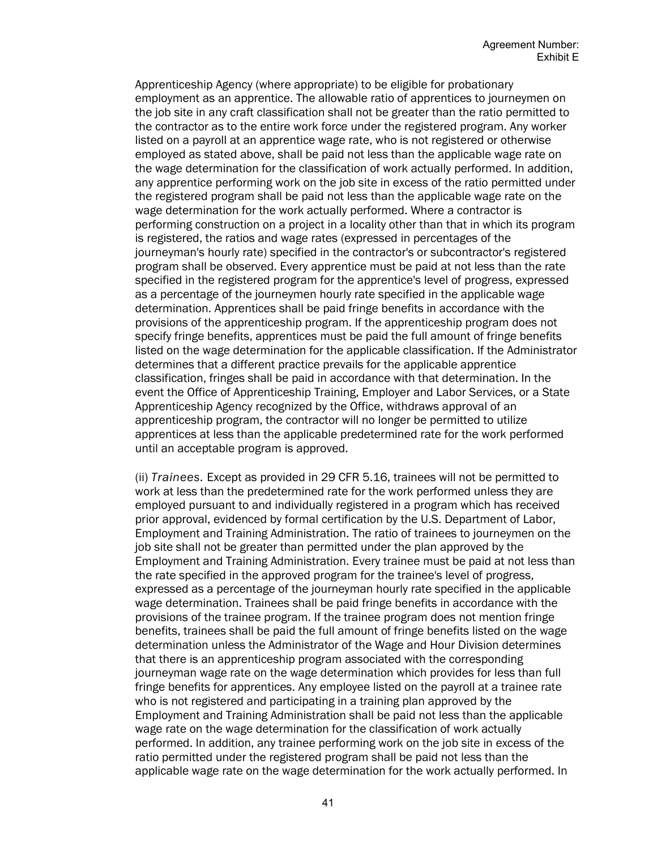Apprenticeship Agency (where appropriate) to be eligible for probationary employment as an apprentice. The allowable ratio of apprentices to journeymen on the job site in any craft classification shall not be greater than the ratio permitted to the contractor as to the entire work force under the registered program. Any worker listed on a payroll at an apprentice wage rate, who is not registered or otherwise employed as stated above, shall be paid not less than the applicable wage rate on the wage determination for the classification of work actually performed. In addition, any apprentice performing work on the job site in excess of the ratio permitted under the registered program shall be paid not less than the applicable wage rate on the wage determination for the work actually performed. Where a contractor is performing construction on a project in a locality other than that in which its program is registered, the ratios and wage rates (expressed in percentages of the journeyman's hourly rate) specified in the contractor's or subcontractor's registered program shall be observed. Every apprentice must be paid at not less than the rate specified in the registered program for the apprentice's level of progress, expressed as a percentage of the journeymen hourly rate specified in the applicable wage determination. Apprentices shall be paid fringe benefits in accordance with the provisions of the apprenticeship program. If the apprenticeship program does not specify fringe benefits, apprentices must be paid the full amount of fringe benefits listed on the wage determination for the applicable classification. If the Administrator determines that a different practice prevails for the applicable apprentice classification, fringes shall be paid in accordance with that determination. In the event the Office of Apprenticeship Training, Employer and Labor Services, or a State Apprenticeship Agency recognized by the Office, withdraws approval of an apprenticeship program, the contractor will no longer be permitted to utilize apprentices at less than the applicable predetermined rate for the work performed until an acceptable program is approved.

(ii) *Trainees.* Except as provided in 29 CFR 5.16, trainees will not be permitted to work at less than the predetermined rate for the work performed unless they are employed pursuant to and individually registered in a program which has received prior approval, evidenced by formal certification by the U.S. Department of Labor, Employment and Training Administration. The ratio of trainees to journeymen on the job site shall not be greater than permitted under the plan approved by the Employment and Training Administration. Every trainee must be paid at not less than the rate specified in the approved program for the trainee's level of progress, expressed as a percentage of the journeyman hourly rate specified in the applicable wage determination. Trainees shall be paid fringe benefits in accordance with the provisions of the trainee program. If the trainee program does not mention fringe benefits, trainees shall be paid the full amount of fringe benefits listed on the wage determination unless the Administrator of the Wage and Hour Division determines that there is an apprenticeship program associated with the corresponding journeyman wage rate on the wage determination which provides for less than full fringe benefits for apprentices. Any employee listed on the payroll at a trainee rate who is not registered and participating in a training plan approved by the Employment and Training Administration shall be paid not less than the applicable wage rate on the wage determination for the classification of work actually performed. In addition, any trainee performing work on the job site in excess of the ratio permitted under the registered program shall be paid not less than the applicable wage rate on the wage determination for the work actually performed. In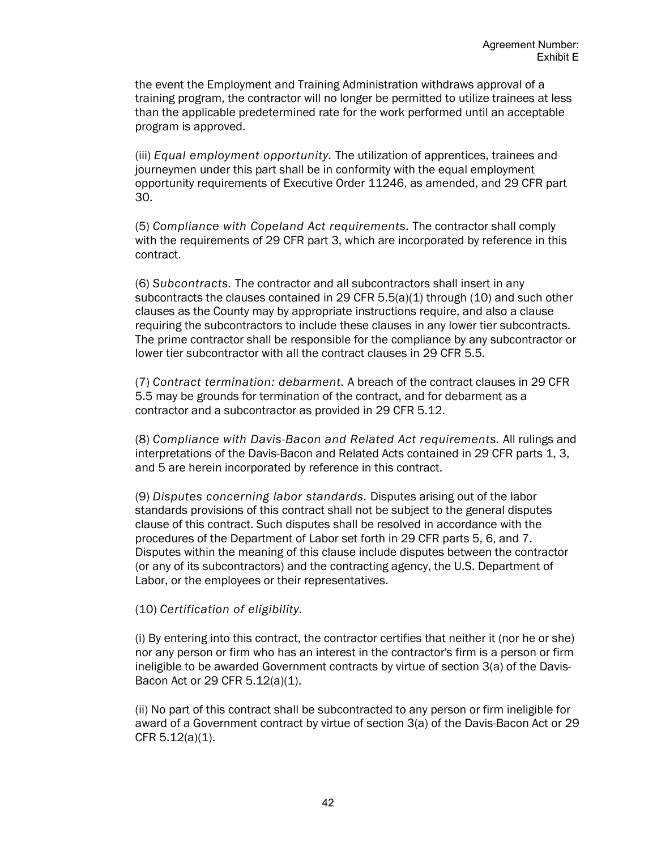the event the Employment and Training Administration withdraws approval of a training program, the contractor will no longer be permitted to utilize trainees at less than the applicable predetermined rate for the work performed until an acceptable program is approved.

(iii) *Equal employment opportunity.* The utilization of apprentices, trainees and journeymen under this part shall be in conformity with the equal employment opportunity requirements of Executive Order 11246, as amended, and 29 CFR part 30.

(5) *Compliance with Copeland Act requirements.* The contractor shall comply with the requirements of 29 CFR part 3, which are incorporated by reference in this contract.

(6) *Subcontracts.* The contractor and all subcontractors shall insert in any subcontracts the clauses contained in 29 CFR 5.5(a)(1) through (10) and such other clauses as the County may by appropriate instructions require, and also a clause requiring the subcontractors to include these clauses in any lower tier subcontracts. The prime contractor shall be responsible for the compliance by any subcontractor or lower tier subcontractor with all the contract clauses in 29 CFR 5.5.

(7) *Contract termination: debarment.* A breach of the contract clauses in 29 CFR 5.5 may be grounds for termination of the contract, and for debarment as a contractor and a subcontractor as provided in 29 CFR 5.12.

(8) *Compliance with Davis-Bacon and Related Act requirements.* All rulings and interpretations of the Davis-Bacon and Related Acts contained in 29 CFR parts 1, 3, and 5 are herein incorporated by reference in this contract.

(9) *Disputes concerning labor standards.* Disputes arising out of the labor standards provisions of this contract shall not be subject to the general disputes clause of this contract. Such disputes shall be resolved in accordance with the procedures of the Department of Labor set forth in 29 CFR parts 5, 6, and 7. Disputes within the meaning of this clause include disputes between the contractor (or any of its subcontractors) and the contracting agency, the U.S. Department of Labor, or the employees or their representatives.

#### (10) *Certification of eligibility.*

(i) By entering into this contract, the contractor certifies that neither it (nor he or she) nor any person or firm who has an interest in the contractor's firm is a person or firm ineligible to be awarded Government contracts by virtue of section 3(a) of the Davis-Bacon Act or 29 CFR 5.12(a)(1).

(ii) No part of this contract shall be subcontracted to any person or firm ineligible for award of a Government contract by virtue of section 3(a) of the Davis-Bacon Act or 29 CFR 5.12(a)(1).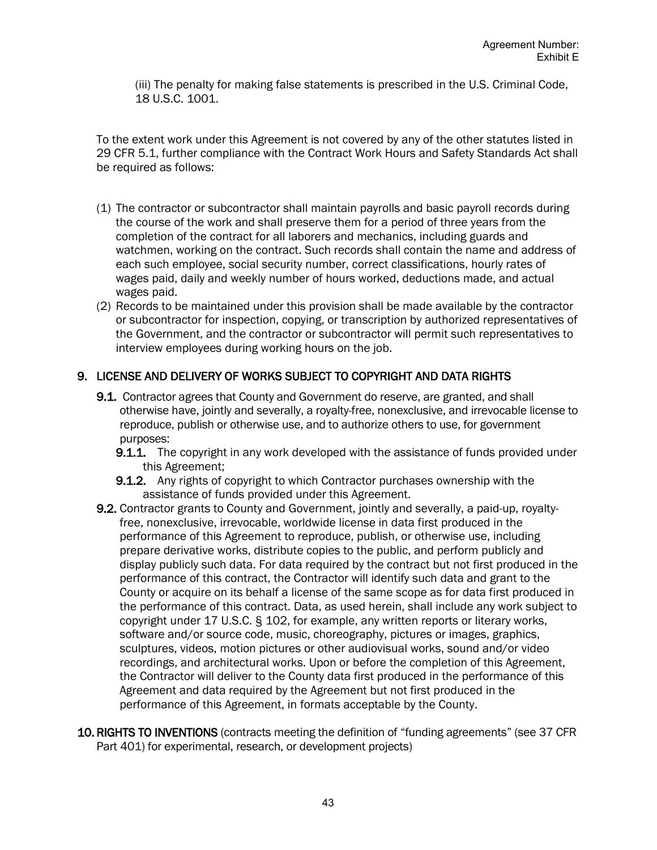(iii) The penalty for making false statements is prescribed in the U.S. Criminal Code, 18 U.S.C. 1001.

To the extent work under this Agreement is not covered by any of the other statutes listed in 29 CFR 5.1, further compliance with the Contract Work Hours and Safety Standards Act shall be required as follows:

- (1) The contractor or subcontractor shall maintain payrolls and basic payroll records during the course of the work and shall preserve them for a period of three years from the completion of the contract for all laborers and mechanics, including guards and watchmen, working on the contract. Such records shall contain the name and address of each such employee, social security number, correct classifications, hourly rates of wages paid, daily and weekly number of hours worked, deductions made, and actual wages paid.
- (2) Records to be maintained under this provision shall be made available by the contractor or subcontractor for inspection, copying, or transcription by authorized representatives of the Government, and the contractor or subcontractor will permit such representatives to interview employees during working hours on the job.

#### 9. LICENSE AND DELIVERY OF WORKS SUBJECT TO COPYRIGHT AND DATA RIGHTS

- **9.1.** Contractor agrees that County and Government do reserve, are granted, and shall otherwise have, jointly and severally, a royalty-free, nonexclusive, and irrevocable license to reproduce, publish or otherwise use, and to authorize others to use, for government purposes:
	- **9.1.1.** The copyright in any work developed with the assistance of funds provided under this Agreement;
	- **9.1.2.** Any rights of copyright to which Contractor purchases ownership with the assistance of funds provided under this Agreement.
- 9.2. Contractor grants to County and Government, jointly and severally, a paid-up, royaltyfree, nonexclusive, irrevocable, worldwide license in data first produced in the performance of this Agreement to reproduce, publish, or otherwise use, including prepare derivative works, distribute copies to the public, and perform publicly and display publicly such data. For data required by the contract but not first produced in the performance of this contract, the Contractor will identify such data and grant to the County or acquire on its behalf a license of the same scope as for data first produced in the performance of this contract. Data, as used herein, shall include any work subject to copyright under 17 U.S.C. § 102, for example, any written reports or literary works, software and/or source code, music, choreography, pictures or images, graphics, sculptures, videos, motion pictures or other audiovisual works, sound and/or video recordings, and architectural works. Upon or before the completion of this Agreement, the Contractor will deliver to the County data first produced in the performance of this Agreement and data required by the Agreement but not first produced in the performance of this Agreement, in formats acceptable by the County.
- 10. RIGHTS TO INVENTIONS (contracts meeting the definition of "funding agreements" (see 37 CFR Part 401) for experimental, research, or development projects)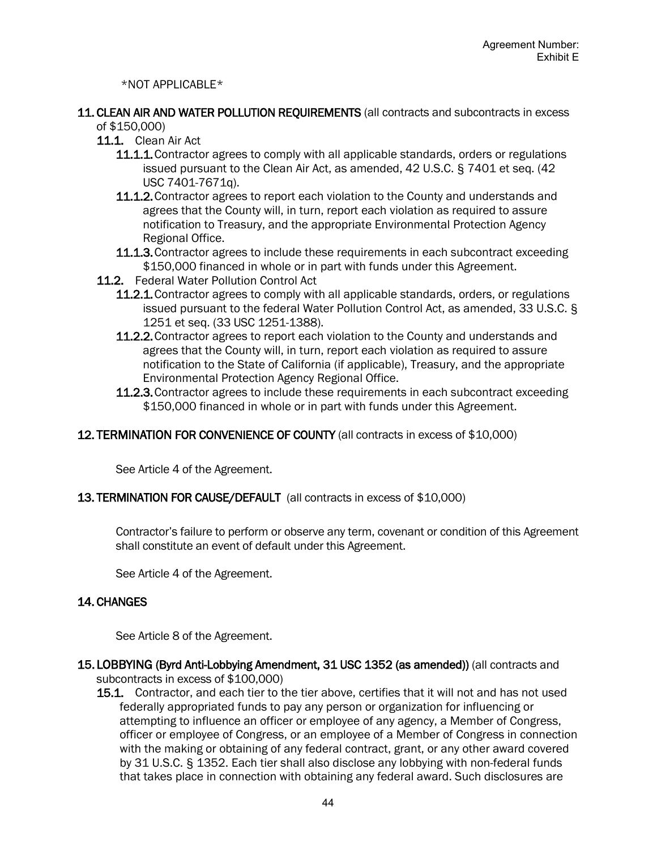#### \*NOT APPLICABLE\*

- 11. CLEAN AIR AND WATER POLLUTION REQUIREMENTS (all contracts and subcontracts in excess of \$150,000)
	- 11.1. Clean Air Act
		- 11.1.1. Contractor agrees to comply with all applicable standards, orders or regulations issued pursuant to the Clean Air Act, as amended, 42 U.S.C. § 7401 et seq. (42 USC 7401-7671q).
		- 11.1.2.Contractor agrees to report each violation to the County and understands and agrees that the County will, in turn, report each violation as required to assure notification to Treasury, and the appropriate Environmental Protection Agency Regional Office.
		- 11.1.3.Contractor agrees to include these requirements in each subcontract exceeding \$150,000 financed in whole or in part with funds under this Agreement.
	- 11.2. Federal Water Pollution Control Act
		- 11.2.1. Contractor agrees to comply with all applicable standards, orders, or regulations issued pursuant to the federal Water Pollution Control Act, as amended, 33 U.S.C. § 1251 et seq. (33 USC 1251-1388).
		- 11.2.2. Contractor agrees to report each violation to the County and understands and agrees that the County will, in turn, report each violation as required to assure notification to the State of California (if applicable), Treasury, and the appropriate Environmental Protection Agency Regional Office.
		- 11.2.3.Contractor agrees to include these requirements in each subcontract exceeding \$150,000 financed in whole or in part with funds under this Agreement.

#### 12. TERMINATION FOR CONVENIENCE OF COUNTY (all contracts in excess of \$10,000)

See Article 4 of the Agreement.

#### 13. TERMINATION FOR CAUSE/DEFAULT (all contracts in excess of \$10,000)

Contractor's failure to perform or observe any term, covenant or condition of this Agreement shall constitute an event of default under this Agreement.

See Article 4 of the Agreement.

#### 14. CHANGES

See Article 8 of the Agreement.

- 15. LOBBYING (Byrd Anti-Lobbying Amendment, 31 USC 1352 (as amended)) (all contracts and subcontracts in excess of \$100,000)
	- **15.1.** Contractor, and each tier to the tier above, certifies that it will not and has not used federally appropriated funds to pay any person or organization for influencing or attempting to influence an officer or employee of any agency, a Member of Congress, officer or employee of Congress, or an employee of a Member of Congress in connection with the making or obtaining of any federal contract, grant, or any other award covered by 31 U.S.C. § 1352. Each tier shall also disclose any lobbying with non-federal funds that takes place in connection with obtaining any federal award. Such disclosures are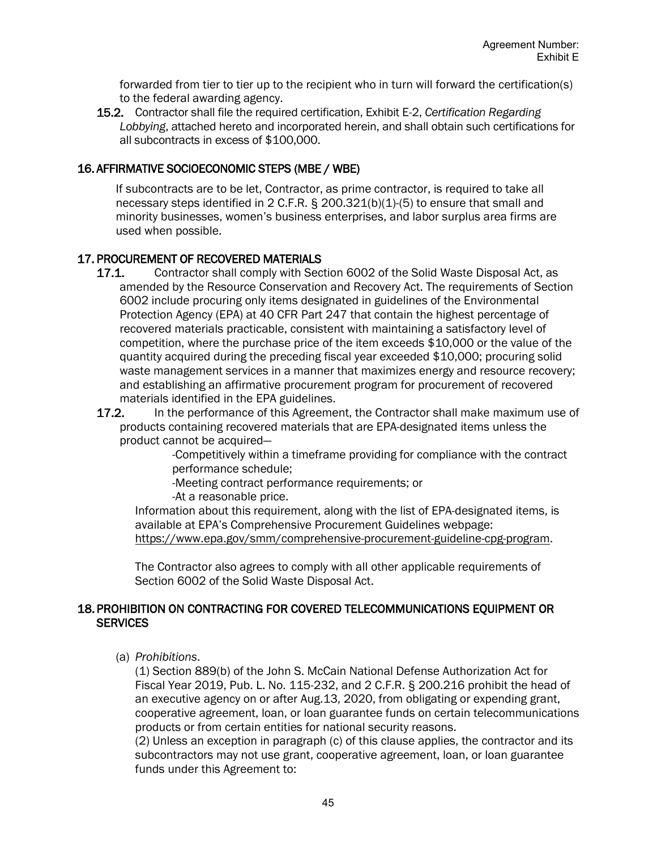forwarded from tier to tier up to the recipient who in turn will forward the certification(s) to the federal awarding agency.

15.2. Contractor shall file the required certification, Exhibit E-2, *Certification Regarding Lobbying*, attached hereto and incorporated herein, and shall obtain such certifications for all subcontracts in excess of \$100,000.

#### 16. AFFIRMATIVE SOCIOECONOMIC STEPS (MBE / WBE)

If subcontracts are to be let, Contractor, as prime contractor, is required to take all necessary steps identified in 2 C.F.R. § 200.321(b)(1)-(5) to ensure that small and minority businesses, women's business enterprises, and labor surplus area firms are used when possible.

#### 17. PROCUREMENT OF RECOVERED MATERIALS

- 17.1. Contractor shall comply with Section 6002 of the Solid Waste Disposal Act, as amended by the Resource Conservation and Recovery Act. The requirements of Section 6002 include procuring only items designated in guidelines of the Environmental Protection Agency (EPA) at 40 CFR Part 247 that contain the highest percentage of recovered materials practicable, consistent with maintaining a satisfactory level of competition, where the purchase price of the item exceeds \$10,000 or the value of the quantity acquired during the preceding fiscal year exceeded \$10,000; procuring solid waste management services in a manner that maximizes energy and resource recovery; and establishing an affirmative procurement program for procurement of recovered materials identified in the EPA guidelines.
- 17.2. In the performance of this Agreement, the Contractor shall make maximum use of products containing recovered materials that are EPA-designated items unless the product cannot be acquired—

-Competitively within a timeframe providing for compliance with the contract performance schedule;

-Meeting contract performance requirements; or

-At a reasonable price.

Information about this requirement, along with the list of EPA-designated items, is available at EPA's Comprehensive Procurement Guidelines webpage: [https://www.epa.gov/smm/comprehensive-procurement-guideline-cpg-program.](https://www.epa.gov/smm/comprehensive-procurement-guideline-cpg-program)

The Contractor also agrees to comply with all other applicable requirements of Section 6002 of the Solid Waste Disposal Act.

#### 18.PROHIBITION ON CONTRACTING FOR COVERED TELECOMMUNICATIONS EQUIPMENT OR **SERVICES**

(a) *Prohibitions*.

(1) Section 889(b) of the John S. McCain National Defense Authorization Act for Fiscal Year 2019, Pub. L. No. 115-232, and 2 C.F.R. § 200.216 prohibit the head of an executive agency on or after Aug.13, 2020, from obligating or expending grant, cooperative agreement, loan, or loan guarantee funds on certain telecommunications products or from certain entities for national security reasons.

(2) Unless an exception in paragraph (c) of this clause applies, the contractor and its subcontractors may not use grant, cooperative agreement, loan, or loan guarantee funds under this Agreement to: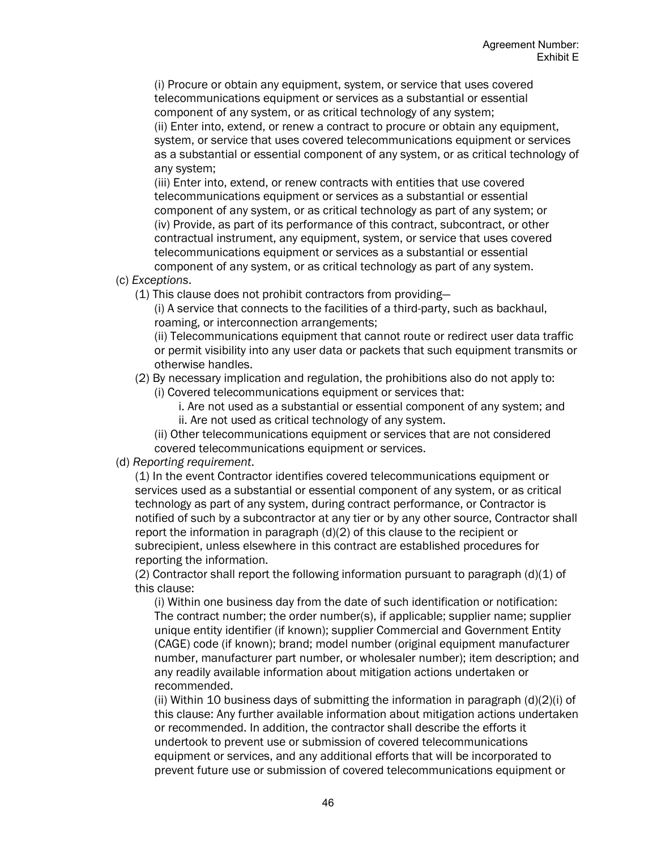(i) Procure or obtain any equipment, system, or service that uses covered telecommunications equipment or services as a substantial or essential component of any system, or as critical technology of any system;

(ii) Enter into, extend, or renew a contract to procure or obtain any equipment, system, or service that uses covered telecommunications equipment or services as a substantial or essential component of any system, or as critical technology of any system;

(iii) Enter into, extend, or renew contracts with entities that use covered telecommunications equipment or services as a substantial or essential component of any system, or as critical technology as part of any system; or (iv) Provide, as part of its performance of this contract, subcontract, or other contractual instrument, any equipment, system, or service that uses covered telecommunications equipment or services as a substantial or essential component of any system, or as critical technology as part of any system.

- (c) *Exceptions*.
	- (1) This clause does not prohibit contractors from providing—

(i) A service that connects to the facilities of a third-party, such as backhaul, roaming, or interconnection arrangements;

(ii) Telecommunications equipment that cannot route or redirect user data traffic or permit visibility into any user data or packets that such equipment transmits or otherwise handles.

- (2) By necessary implication and regulation, the prohibitions also do not apply to:
	- (i) Covered telecommunications equipment or services that:

i. Are not used as a substantial or essential component of any system; and ii. Are not used as critical technology of any system.

(ii) Other telecommunications equipment or services that are not considered covered telecommunications equipment or services.

#### (d) *Reporting requirement*.

(1) In the event Contractor identifies covered telecommunications equipment or services used as a substantial or essential component of any system, or as critical technology as part of any system, during contract performance, or Contractor is notified of such by a subcontractor at any tier or by any other source, Contractor shall report the information in paragraph (d)(2) of this clause to the recipient or subrecipient, unless elsewhere in this contract are established procedures for reporting the information.

 $(2)$  Contractor shall report the following information pursuant to paragraph  $(d)(1)$  of this clause:

(i) Within one business day from the date of such identification or notification: The contract number; the order number(s), if applicable; supplier name; supplier unique entity identifier (if known); supplier Commercial and Government Entity (CAGE) code (if known); brand; model number (original equipment manufacturer number, manufacturer part number, or wholesaler number); item description; and any readily available information about mitigation actions undertaken or recommended.

(ii) Within 10 business days of submitting the information in paragraph (d)(2)(i) of this clause: Any further available information about mitigation actions undertaken or recommended. In addition, the contractor shall describe the efforts it undertook to prevent use or submission of covered telecommunications equipment or services, and any additional efforts that will be incorporated to prevent future use or submission of covered telecommunications equipment or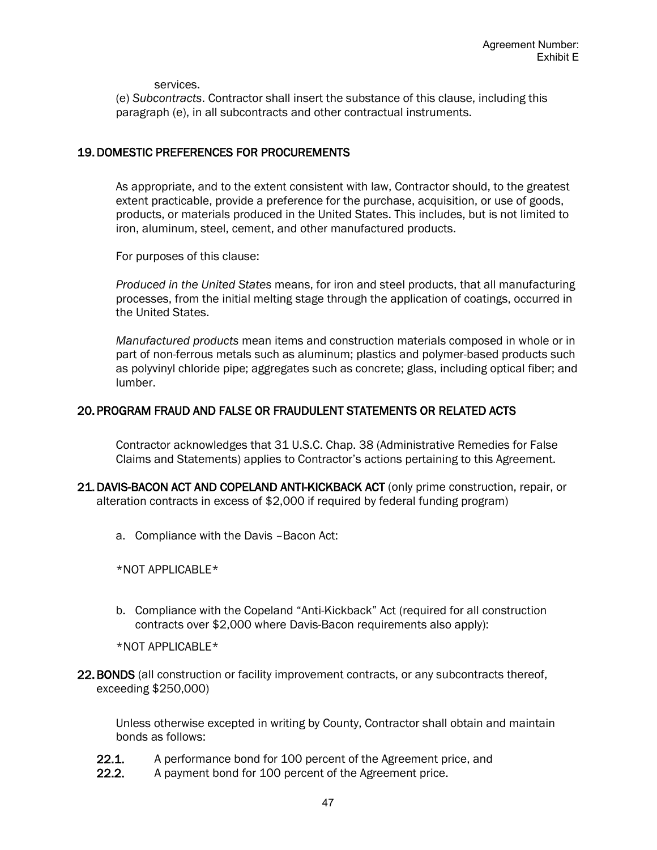services.

(e) *Subcontracts*. Contractor shall insert the substance of this clause, including this paragraph (e), in all subcontracts and other contractual instruments.

#### 19.DOMESTIC PREFERENCES FOR PROCUREMENTS

As appropriate, and to the extent consistent with law, Contractor should, to the greatest extent practicable, provide a preference for the purchase, acquisition, or use of goods, products, or materials produced in the United States. This includes, but is not limited to iron, aluminum, steel, cement, and other manufactured products.

For purposes of this clause:

*Produced in the United States* means, for iron and steel products, that all manufacturing processes, from the initial melting stage through the application of coatings, occurred in the United States.

*Manufactured products* mean items and construction materials composed in whole or in part of non-ferrous metals such as aluminum; plastics and polymer-based products such as polyvinyl chloride pipe; aggregates such as concrete; glass, including optical fiber; and lumber.

#### 20.PROGRAM FRAUD AND FALSE OR FRAUDULENT STATEMENTS OR RELATED ACTS

Contractor acknowledges that 31 U.S.C. Chap. 38 (Administrative Remedies for False Claims and Statements) applies to Contractor's actions pertaining to this Agreement.

- 21. DAVIS-BACON ACT AND COPELAND ANTI-KICKBACK ACT (only prime construction, repair, or alteration contracts in excess of \$2,000 if required by federal funding program)
	- a. Compliance with the Davis –Bacon Act:

\*NOT APPLICABLE\*

b. Compliance with the Copeland "Anti-Kickback" Act (required for all construction contracts over \$2,000 where Davis-Bacon requirements also apply):

\*NOT APPLICABLE\*

22. BONDS (all construction or facility improvement [contracts,](https://www.law.cornell.edu/definitions/index.php?width=840&height=800&iframe=true&def_id=dad614c8a49266d2767ab3a834546ad5&term_occur=1&term_src=Title:2:Subtitle:A:Chapter:II:Part:200:Subpart:D:Subjgrp:31:200.325) or any su[bcontracts](https://www.law.cornell.edu/definitions/index.php?width=840&height=800&iframe=true&def_id=dad614c8a49266d2767ab3a834546ad5&term_occur=2&term_src=Title:2:Subtitle:A:Chapter:II:Part:200:Subpart:D:Subjgrp:31:200.325) thereof, exceeding \$250,000)

Unless otherwise excepted in writing by County, Contractor shall obtain and maintain bonds as follows:

- 22.1. A performance bond for 100 percent of the [Agreement](https://www.law.cornell.edu/definitions/index.php?width=840&height=800&iframe=true&def_id=dad614c8a49266d2767ab3a834546ad5&term_occur=3&term_src=Title:2:Subtitle:A:Chapter:II:Part:200:Subpart:D:Subjgrp:31:200.325) price, and<br>22.2. A payment bond for 100 percent of the Agreement price.
- A payment bond for 100 percent of the [Agreement](https://www.law.cornell.edu/definitions/index.php?width=840&height=800&iframe=true&def_id=dad614c8a49266d2767ab3a834546ad5&term_occur=6&term_src=Title:2:Subtitle:A:Chapter:II:Part:200:Subpart:D:Subjgrp:31:200.325) price.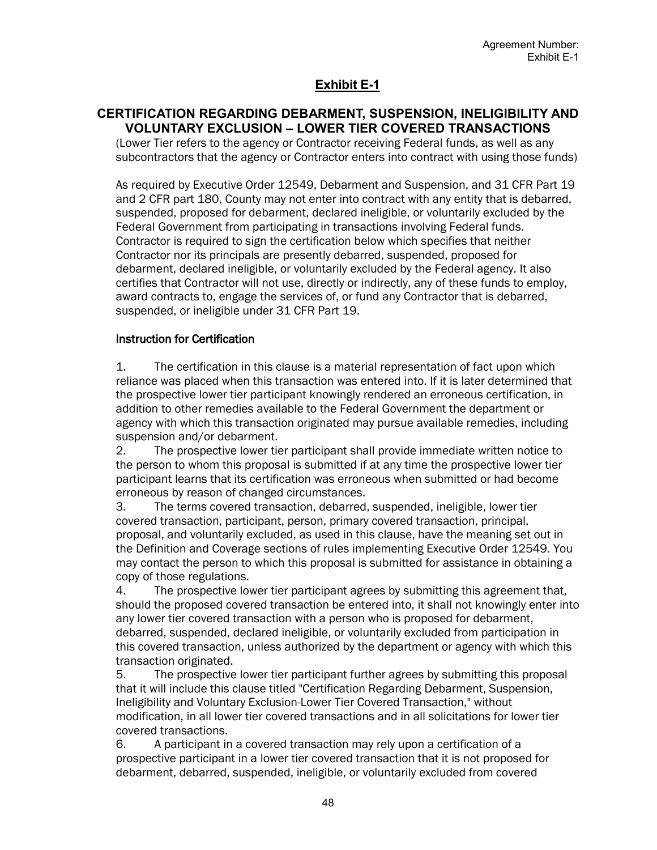# **Exhibit E-1**

#### **CERTIFICATION REGARDING DEBARMENT, SUSPENSION, INELIGIBILITY AND VOLUNTARY EXCLUSION – LOWER TIER COVERED TRANSACTIONS**

(Lower Tier refers to the agency or Contractor receiving Federal funds, as well as any subcontractors that the agency or Contractor enters into contract with using those funds)

As required by Executive Order 12549, Debarment and Suspension, and 31 CFR Part 19 and 2 CFR part 180, County may not enter into contract with any entity that is debarred, suspended, proposed for debarment, declared ineligible, or voluntarily excluded by the Federal Government from participating in transactions involving Federal funds. Contractor is required to sign the certification below which specifies that neither Contractor nor its principals are presently debarred, suspended, proposed for debarment, declared ineligible, or voluntarily excluded by the Federal agency. It also certifies that Contractor will not use, directly or indirectly, any of these funds to employ, award contracts to, engage the services of, or fund any Contractor that is debarred, suspended, or ineligible under 31 CFR Part 19.

#### Instruction for Certification

1. The certification in this clause is a material representation of fact upon which reliance was placed when this transaction was entered into. If it is later determined that the prospective lower tier participant knowingly rendered an erroneous certification, in addition to other remedies available to the Federal Government the department or agency with which this transaction originated may pursue available remedies, including suspension and/or debarment.

2. The prospective lower tier participant shall provide immediate written notice to the person to whom this proposal is submitted if at any time the prospective lower tier participant learns that its certification was erroneous when submitted or had become erroneous by reason of changed circumstances.

3. The terms covered transaction, debarred, suspended, ineligible, lower tier covered transaction, participant, person, primary covered transaction, principal, proposal, and voluntarily excluded, as used in this clause, have the meaning set out in the Definition and Coverage sections of rules implementing Executive Order 12549. You may contact the person to which this proposal is submitted for assistance in obtaining a copy of those regulations.

4. The prospective lower tier participant agrees by submitting this agreement that, should the proposed covered transaction be entered into, it shall not knowingly enter into any lower tier covered transaction with a person who is proposed for debarment, debarred, suspended, declared ineligible, or voluntarily excluded from participation in this covered transaction, unless authorized by the department or agency with which this transaction originated.

5. The prospective lower tier participant further agrees by submitting this proposal that it will include this clause titled "Certification Regarding Debarment, Suspension, Ineligibility and Voluntary Exclusion-Lower Tier Covered Transaction," without modification, in all lower tier covered transactions and in all solicitations for lower tier covered transactions.

6. A participant in a covered transaction may rely upon a certification of a prospective participant in a lower tier covered transaction that it is not proposed for debarment, debarred, suspended, ineligible, or voluntarily excluded from covered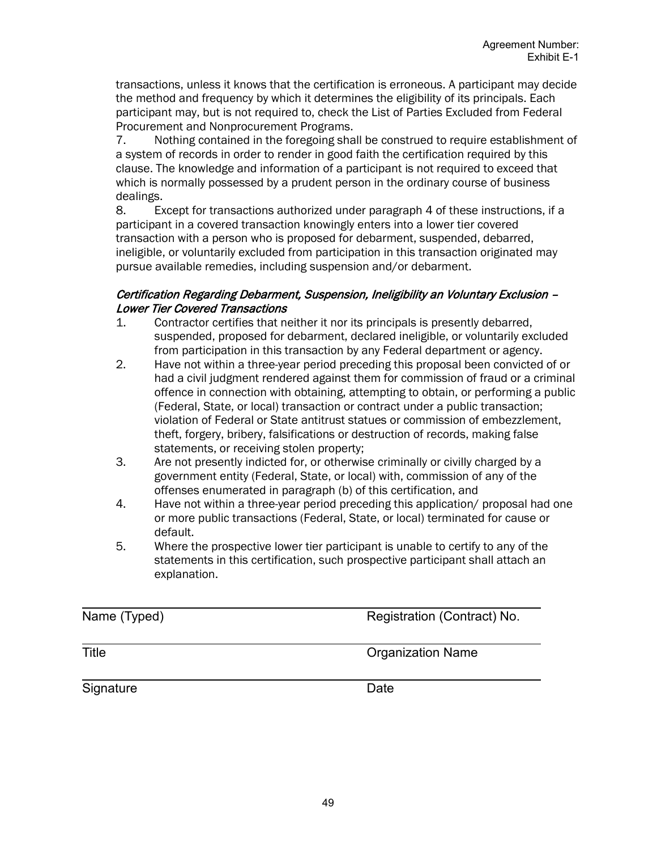transactions, unless it knows that the certification is erroneous. A participant may decide the method and frequency by which it determines the eligibility of its principals. Each participant may, but is not required to, check the List of Parties Excluded from Federal Procurement and Nonprocurement Programs.

7. Nothing contained in the foregoing shall be construed to require establishment of a system of records in order to render in good faith the certification required by this clause. The knowledge and information of a participant is not required to exceed that which is normally possessed by a prudent person in the ordinary course of business dealings.

8. Except for transactions authorized under paragraph 4 of these instructions, if a participant in a covered transaction knowingly enters into a lower tier covered transaction with a person who is proposed for debarment, suspended, debarred, ineligible, or voluntarily excluded from participation in this transaction originated may pursue available remedies, including suspension and/or debarment.

#### Certification Regarding Debarment, Suspension, Ineligibility an Voluntary Exclusion – Lower Tier Covered Transactions

- 1. Contractor certifies that neither it nor its principals is presently debarred, suspended, proposed for debarment, declared ineligible, or voluntarily excluded from participation in this transaction by any Federal department or agency.
- 2. Have not within a three-year period preceding this proposal been convicted of or had a civil judgment rendered against them for commission of fraud or a criminal offence in connection with obtaining, attempting to obtain, or performing a public (Federal, State, or local) transaction or contract under a public transaction; violation of Federal or State antitrust statues or commission of embezzlement, theft, forgery, bribery, falsifications or destruction of records, making false statements, or receiving stolen property;
- 3. Are not presently indicted for, or otherwise criminally or civilly charged by a government entity (Federal, State, or local) with, commission of any of the offenses enumerated in paragraph (b) of this certification, and
- 4. Have not within a three-year period preceding this application/ proposal had one or more public transactions (Federal, State, or local) terminated for cause or default.
- 5. Where the prospective lower tier participant is unable to certify to any of the statements in this certification, such prospective participant shall attach an explanation.

Name (Typed) Registration (Contract) No.

Title **Title Title Organization Name** 

Signature Date Date